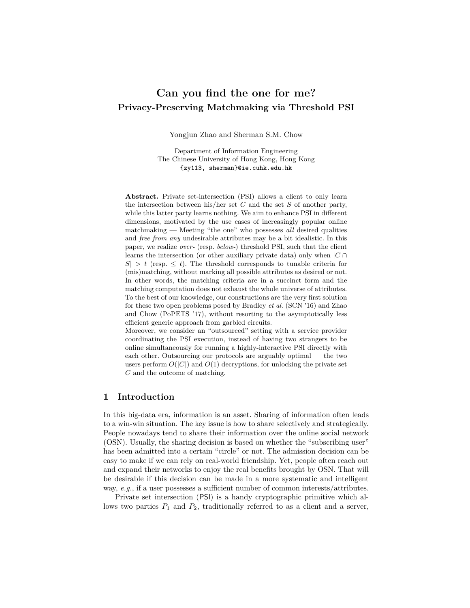# **Can you find the one for me? Privacy-Preserving Matchmaking via Threshold PSI**

Yongjun Zhao and Sherman S.M. Chow

Department of Information Engineering The Chinese University of Hong Kong, Hong Kong {zy113, sherman}@ie.cuhk.edu.hk

**Abstract.** Private set-intersection (PSI) allows a client to only learn the intersection between his/her set *C* and the set *S* of another party, while this latter party learns nothing. We aim to enhance PSI in different dimensions, motivated by the use cases of increasingly popular online matchmaking — Meeting "the one" who possesses *all* desired qualities and *free from any* undesirable attributes may be a bit idealistic. In this paper, we realize *over-* (resp. *below-*) threshold PSI, such that the client learns the intersection (or other auxiliary private data) only when  $|C \cap$  $|S| > t$  (resp.  $\leq t$ ). The threshold corresponds to tunable criteria for (mis)matching, without marking all possible attributes as desired or not. In other words, the matching criteria are in a succinct form and the matching computation does not exhaust the whole universe of attributes. To the best of our knowledge, our constructions are the very first solution for these two open problems posed by Bradley *et al.* (SCN '16) and Zhao and Chow (PoPETS '17), without resorting to the asymptotically less efficient generic approach from garbled circuits.

Moreover, we consider an "outsourced" setting with a service provider coordinating the PSI execution, instead of having two strangers to be online simultaneously for running a highly-interactive PSI directly with each other. Outsourcing our protocols are arguably optimal — the two users perform  $O(|C|)$  and  $O(1)$  decryptions, for unlocking the private set *C* and the outcome of matching.

## **1 Introduction**

In this big-data era, information is an asset. Sharing of information often leads to a win-win situation. The key issue is how to share selectively and strategically. People nowadays tend to share their information over the online social network (OSN). Usually, the sharing decision is based on whether the "subscribing user" has been admitted into a certain "circle" or not. The admission decision can be easy to make if we can rely on real-world friendship. Yet, people often reach out and expand their networks to enjoy the real benefits brought by OSN. That will be desirable if this decision can be made in a more systematic and intelligent way, *e.g.*, if a user possesses a sufficient number of common interests/attributes.

Private set intersection (PSI) is a handy cryptographic primitive which allows two parties  $P_1$  and  $P_2$ , traditionally referred to as a client and a server,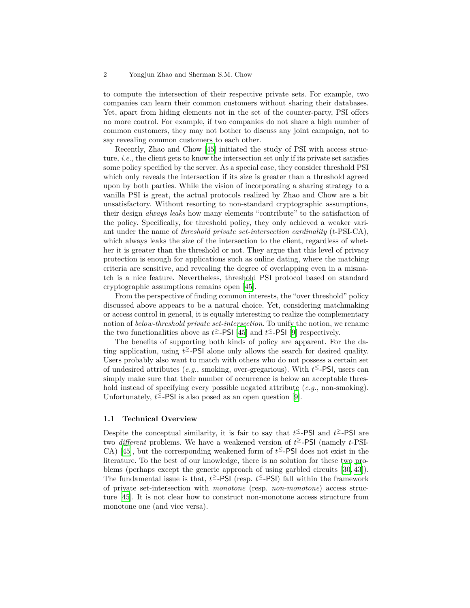to compute the intersection of their respective private sets. For example, two companies can learn their common customers without sharing their databases. Yet, apart from hiding elements not in the set of the counter-party, PSI offers no more control. For example, if two companies do not share a high number of common customers, they may not bother to discuss any joint campaign, not to say revealing common customers to each other.

Recently, Zhao and Chow [\[45](#page-24-0)] initiated the study of PSI with access structure, *i.e.*, the client gets to know the intersection set only if its private set satisfies some policy specified by the server. As a special case, they consider threshold PSI which only reveals the intersection if its size is greater than a threshold agreed upon by both parties. While the vision of incorporating a sharing strategy to a vanilla PSI is great, the actual protocols realized by Zhao and Chow are a bit unsatisfactory. Without resorting to non-standard cryptographic assumptions, their design *always leaks* how many elements "contribute" to the satisfaction of the policy. Specifically, for threshold policy, they only achieved a weaker variant under the name of *threshold private set-intersection cardinality* (*t*-PSI-CA), which always leaks the size of the intersection to the client, regardless of whether it is greater than the threshold or not. They argue that this level of privacy protection is enough for applications such as online dating, where the matching criteria are sensitive, and revealing the degree of overlapping even in a mismatch is a nice feature. Nevertheless, threshold PSI protocol based on standard cryptographic assumptions remains open [[45\]](#page-24-0).

From the perspective of finding common interests, the "over threshold" policy discussed above appears to be a natural choice. Yet, considering matchmaking or access control in general, it is equally interesting to realize the complementary notion of *below-threshold private set-intersection*. To unify the notion, we rename the two functionalities above as  $t^{\ge}$ -PSI [\[45](#page-24-0)] and  $t^{\le}$ -PSI [[9\]](#page-23-0) respectively.

The benefits of supporting both kinds of policy are apparent. For the dating application, using  $t^{\ge}$ -PSI alone only allows the search for desired quality. Users probably also want to match with others who do not possess a certain set of undesired attributes (*e.g.*, smoking, over-gregarious). With *t <sup>≤</sup>*-PSI, users can simply make sure that their number of occurrence is below an acceptable threshold instead of specifying every possible negated attribute (*e.g.*, non-smoking). Unfortunately,  $t^{\le}$ -PSI is also posed as an open question [\[9](#page-23-0)].

#### **1.1 Technical Overview**

Despite the conceptual similarity, it is fair to say that *t <sup>≤</sup>*-PSI and *t <sup>≥</sup>*-PSI are two *different* problems. We have a weakened version of *t <sup>≥</sup>*-PSI (namely *t*-PSI-CA) [[45\]](#page-24-0), but the corresponding weakened form of  $t \leq$ -PSI does not exist in the literature. To the best of our knowledge, there is no solution for these two problems (perhaps except the generic approach of using garbled circuits [[30,](#page-24-1) [43](#page-24-2)]). The fundamental issue is that,  $t^{\ge}$ -PSI (resp.  $t^{\le}$ -PSI) fall within the framework of private set-intersection with *monotone* (resp. *non-monotone*) access structure [\[45](#page-24-0)]. It is not clear how to construct non-monotone access structure from monotone one (and vice versa).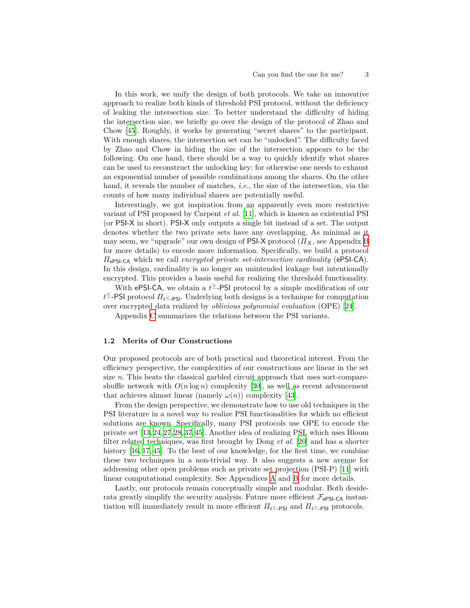In this work, we unify the design of both protocols. We take an innovative approach to realize both kinds of threshold PSI protocol, without the deficiency of leaking the intersection size. To better understand the difficulty of hiding the intersection size, we briefly go over the design of the protocol of Zhao and Chow [\[45\]](#page-24-0). Roughly, it works by generating "secret shares" to the participant. With enough shares, the intersection set can be "unlocked". The difficulty faced by Zhao and Chow in hiding the size of the intersection appears to be the following. On one hand, there should be a way to quickly identify what shares can be used to reconstruct the unlocking key; for otherwise one needs to exhaust an exponential number of possible combinations among the shares. On the other hand, it reveals the number of matches, *i.e.*, the size of the intersection, via the counts of how many individual shares are potentially useful.

Interestingly, we got inspiration from an apparently even more restrictive variant of PSI proposed by Carpent *et al.* [[11\]](#page-23-1), which is known as existential PSI (or PSI-X in short). PSI-X only outputs a single bit instead of a set. The output denotes whether the two private sets have any overlapping. As minimal as it may seem, we "upgrade" our own design of PSI-X protocol (*ΠX*, see Appendix [B](#page-25-0) for more details) to encode more information. Specifically, we build a protocol *Π*ePSI-CA which we call *encrypted private set-intersection cardinality* (ePSI-CA). In this design, cardinality is no longer an unintended leakage but intentionally encrypted. This provides a basis useful for realizing the threshold functionality.

With ePSI-CA, we obtain a *t <sup>≥</sup>*-PSI protocol by a simple modification of our *t <sup>≤</sup>*-PSI protocol *Πt≤*-PSI. Underlying both designs is a technique for computation over encrypted data realized by *oblivious polynomial evaluation* (OPE) [[24\]](#page-24-3).

Appendix [C](#page-27-0) summarizes the relations between the PSI variants.

## **1.2 Merits of Our Constructions**

Our proposed protocols are of both practical and theoretical interest. From the efficiency perspective, the complexities of our constructions are linear in the set size *n*. This beats the classical garbled circuit approach that uses sort-compareshuffle network with  $O(n \log n)$  complexity [[30\]](#page-24-1), as well as recent advancement that achieves almost linear (namely  $\omega(n)$ ) complexity [\[43](#page-24-2)].

From the design perspective, we demonstrate how to use old techniques in the PSI literature in a novel way to realize PSI functionalities for which no efficient solutions are known. Specifically, many PSI protocols use OPE to encode the private set [[13,](#page-23-2)[24](#page-24-3),[27,](#page-24-4)[28,](#page-24-5)[37](#page-24-6),[45\]](#page-24-0). Another idea of realizing PSI, which uses Bloom filter related techniques, was first brought by Dong *et al.* [[20\]](#page-23-3) and has a shorter history [\[16](#page-23-4), [17](#page-23-5), [45](#page-24-0)]. To the best of our knowledge, for the first time, we combine these two techniques in a non-trivial way. It also suggests a new avenue for addressing other open problems such as private set projection (PSI-P) [\[11](#page-23-1)] with linear computational complexity. See Appendices [A](#page-25-1) and [B](#page-25-0) for more details.

Lastly, our protocols remain conceptually simple and modular. Both desiderata greatly simplify the security analysis. Future more efficient  $\mathcal{F}_{ePSI-CA}$  instantiation will immediately result in more efficient  $\Pi_{t} \leq P_{\text{SI}}$  and  $\Pi_{t} \geq P_{\text{SI}}$  protocols.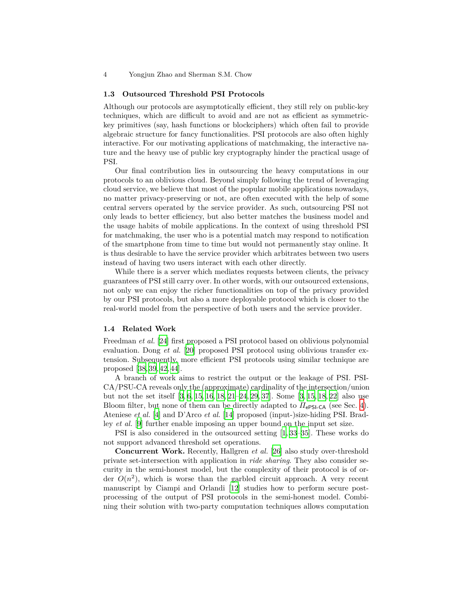#### **1.3 Outsourced Threshold PSI Protocols**

Although our protocols are asymptotically efficient, they still rely on public-key techniques, which are difficult to avoid and are not as efficient as symmetrickey primitives (say, hash functions or blockciphers) which often fail to provide algebraic structure for fancy functionalities. PSI protocols are also often highly interactive. For our motivating applications of matchmaking, the interactive nature and the heavy use of public key cryptography hinder the practical usage of PSI.

Our final contribution lies in outsourcing the heavy computations in our protocols to an oblivious cloud. Beyond simply following the trend of leveraging cloud service, we believe that most of the popular mobile applications nowadays, no matter privacy-preserving or not, are often executed with the help of some central servers operated by the service provider. As such, outsourcing PSI not only leads to better efficiency, but also better matches the business model and the usage habits of mobile applications. In the context of using threshold PSI for matchmaking, the user who is a potential match may respond to notification of the smartphone from time to time but would not permanently stay online. It is thus desirable to have the service provider which arbitrates between two users instead of having two users interact with each other directly.

While there is a server which mediates requests between clients, the privacy guarantees of PSI still carry over. In other words, with our outsourced extensions, not only we can enjoy the richer functionalities on top of the privacy provided by our PSI protocols, but also a more deployable protocol which is closer to the real-world model from the perspective of both users and the service provider.

## <span id="page-3-0"></span>**1.4 Related Work**

Freedman *et al.* [[24\]](#page-24-3) first proposed a PSI protocol based on oblivious polynomial evaluation. Dong *et al.* [\[20](#page-23-3)] proposed PSI protocol using oblivious transfer extension. Subsequently, more efficient PSI protocols using similar technique are proposed [[38,](#page-24-7) [39,](#page-24-8) [42,](#page-24-9) [44](#page-24-10)].

A branch of work aims to restrict the output or the leakage of PSI. PSI-CA/PSU-CA reveals only the (approximate) cardinality of the intersection/union but not the set itself [\[3](#page-23-6), [6,](#page-23-7) [15](#page-23-8), [16,](#page-23-4) [18](#page-23-9), [21–](#page-23-10)[24,](#page-24-3) [29](#page-24-11), [37\]](#page-24-6). Some [[3,](#page-23-6) [15](#page-23-8), [18,](#page-23-9) [22](#page-23-11)] also use Bloom filter, but none of them can be directly adapted to  $\Pi_{ePSI-CA}$  (see Sec. [4\)](#page-11-0). Ateniese *et al.* [[4\]](#page-23-12) and D'Arco *et al.* [\[14](#page-23-13)] proposed (input-)size-hiding PSI. Bradley *et al.* [[9\]](#page-23-0) further enable imposing an upper bound on the input set size.

PSI is also considered in the outsourced setting [[1,](#page-23-14) [33](#page-24-12)[–35](#page-24-13)]. These works do not support advanced threshold set operations.

**Concurrent Work.** Recently, Hallgren *et al.* [\[26](#page-24-14)] also study over-threshold private set-intersection with application in *ride sharing*. They also consider security in the semi-honest model, but the complexity of their protocol is of order  $O(n^2)$ , which is worse than the garbled circuit approach. A very recent manuscript by Ciampi and Orlandi [[12\]](#page-23-15) studies how to perform secure postprocessing of the output of PSI protocols in the semi-honest model. Combining their solution with two-party computation techniques allows computation

<sup>4</sup> Yongjun Zhao and Sherman S.M. Chow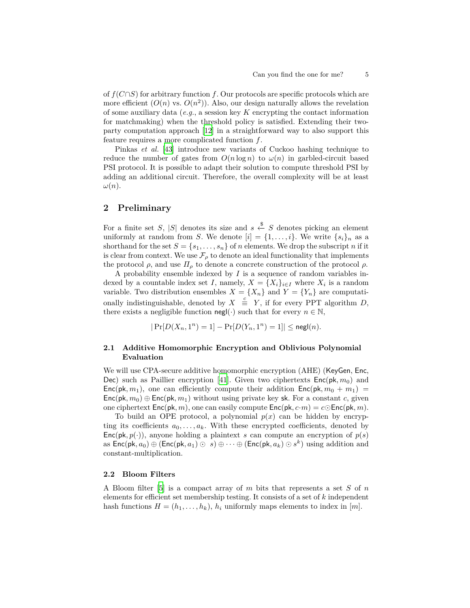of *f*(*C∩S*) for arbitrary function *f*. Our protocols are specific protocols which are more efficient  $(O(n)$  vs.  $O(n^2)$ ). Also, our design naturally allows the revelation of some auxiliary data (*e.g.*, a session key *K* encrypting the contact information for matchmaking) when the threshold policy is satisfied. Extending their twoparty computation approach [\[12](#page-23-15)] in a straightforward way to also support this feature requires a more complicated function *f*.

Pinkas *et al.* [[43\]](#page-24-2) introduce new variants of Cuckoo hashing technique to reduce the number of gates from  $O(n \log n)$  to  $\omega(n)$  in garbled-circuit based PSI protocol. It is possible to adapt their solution to compute threshold PSI by adding an additional circuit. Therefore, the overall complexity will be at least *ω*(*n*).

## **2 Preliminary**

For a finite set *S*, |*S*| denotes its size and  $s \stackrel{\$}{\leftarrow} S$  denotes picking an element uniformly at random from *S*. We denote  $[i] = \{1, \ldots, i\}$ . We write  $\{s_i\}_n$  as a shorthand for the set  $S = \{s_1, \ldots, s_n\}$  of *n* elements. We drop the subscript *n* if it is clear from context. We use  $\mathcal{F}_{\rho}$  to denote an ideal functionality that implements the protocol  $\rho$ , and use  $\Pi_{\rho}$  to denote a concrete construction of the protocol  $\rho$ .

A probability ensemble indexed by *I* is a sequence of random variables indexed by a countable index set *I*, namely,  $X = \{X_i\}_{i \in I}$  where  $X_i$  is a random variable. Two distribution ensembles  $X = \{X_n\}$  and  $Y = \{Y_n\}$  are computationally indistinguishable, denoted by  $X \stackrel{c}{\equiv} Y$ , if for every PPT algorithm *D*, there exists a negligible function negl( $\cdot$ ) such that for every  $n \in \mathbb{N}$ ,

$$
|\Pr[D(X_n, 1^n) = 1] - \Pr[D(Y_n, 1^n) = 1]| \le \mathsf{negl}(n).
$$

## <span id="page-4-0"></span>**2.1 Additive Homomorphic Encryption and Oblivious Polynomial Evaluation**

We will use CPA-secure additive homomorphic encryption (AHE) (KeyGen, Enc, Dec) such as Paillier encryption [[41\]](#page-24-15). Given two ciphertexts  $Enc(\mathsf{pk}, m_0)$  and Enc(pk,  $m_1$ ), one can efficiently compute their addition  $Enc(pk, m_0 + m_1)$  $Enc(\mathsf{pk}, m_0) \oplus Enc(\mathsf{pk}, m_1)$  without using private key sk. For a constant *c*, given one ciphertext  $Enc(\mathsf{pk}, m)$ , one can easily compute  $Enc(\mathsf{pk}, c \cdot m) = c \odot Enc(\mathsf{pk}, m)$ .

To build an OPE protocol, a polynomial  $p(x)$  can be hidden by encrypting its coefficients  $a_0, \ldots, a_k$ . With these encrypted coefficients, denoted by Enc( $\mathsf{pk}, p(\cdot)$ ), anyone holding a plaintext *s* can compute an encryption of  $p(s)$ as  $\mathsf{Enc}(\mathsf{pk}, a_0) \oplus (\mathsf{Enc}(\mathsf{pk}, a_1) \odot \ s) \oplus \cdots \oplus (\mathsf{Enc}(\mathsf{pk}, a_k) \odot s^k) \text{ using addition and }$ constant-multiplication.

#### <span id="page-4-1"></span>**2.2 Bloom Filters**

A Bloom filter [\[5](#page-23-16)] is a compact array of *m* bits that represents a set *S* of *n* elements for efficient set membership testing. It consists of a set of *k* independent hash functions  $H = (h_1, \ldots, h_k)$ ,  $h_i$  uniformly maps elements to index in [*m*].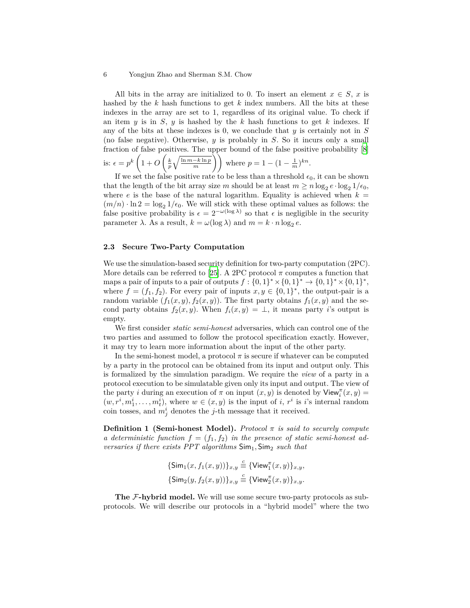All bits in the array are initialized to 0. To insert an element  $x \in S$ , x is hashed by the *k* hash functions to get *k* index numbers. All the bits at these indexes in the array are set to 1, regardless of its original value. To check if an item  $y$  is in  $S$ ,  $y$  is hashed by the  $k$  hash functions to get  $k$  indexes. If any of the bits at these indexes is 0, we conclude that *y* is certainly not in *S* (no false negative). Otherwise, *y* is probably in *S*. So it incurs only a small fraction of false positives. The upper bound of the false positive probability [[8\]](#page-23-17) is:  $\epsilon = p^k$ 1 + *O*  $\left(\frac{k}{p}\right)$  $\sqrt{\frac{\ln m - k \ln p}{m}}$  where  $p = 1 - (1 - \frac{1}{m})^{kn}$ .

If we set the false positive rate to be less than a threshold  $\epsilon_0$ , it can be shown that the length of the bit array size *m* should be at least  $m \ge n \log_2 e \cdot \log_2 1/\epsilon_0$ , where  $e$  is the base of the natural logarithm. Equality is achieved when  $k =$  $(m/n) \cdot \ln 2 = \log_2 1/\epsilon_0$ . We will stick with these optimal values as follows: the false positive probability is  $\epsilon = 2^{-\omega(\log \lambda)}$  so that  $\epsilon$  is negligible in the security parameter  $\lambda$ . As a result,  $k = \omega(\log \lambda)$  and  $m = k \cdot n \log_2 e$ .

#### **2.3 Secure Two-Party Computation**

We use the simulation-based security definition for two-party computation (2PC). More details can be referred to [\[25](#page-24-16)]. A 2PC protocol  $\pi$  computes a function that maps a pair of inputs to a pair of outputs  $f: \{0,1\}^* \times \{0,1\}^* \to \{0,1\}^* \times \{0,1\}^*$ , where  $f = (f_1, f_2)$ . For every pair of inputs  $x, y \in \{0, 1\}^*$ , the output-pair is a random variable  $(f_1(x, y), f_2(x, y))$ . The first party obtains  $f_1(x, y)$  and the second party obtains  $f_2(x, y)$ . When  $f_i(x, y) = \perp$ , it means party *i*'s output is empty.

We first consider *static semi-honest* adversaries, which can control one of the two parties and assumed to follow the protocol specification exactly. However, it may try to learn more information about the input of the other party.

In the semi-honest model, a protocol  $\pi$  is secure if whatever can be computed by a party in the protocol can be obtained from its input and output only. This is formalized by the simulation paradigm. We require the *view* of a party in a protocol execution to be simulatable given only its input and output. The view of the party *i* during an execution of  $\pi$  on input  $(x, y)$  is denoted by  $\mathsf{View}_i^{\pi}(x, y)$  =  $(w, r^i, m_1^i, \ldots, m_t^i)$ , where  $w \in (x, y)$  is the input of *i*,  $r^i$  is *i*'s internal random  $\text{coin tosses, and } m^i_j \text{ denotes the } j\text{-th message that it received.}$ 

**Definition 1 (Semi-honest Model).** *Protocol*  $\pi$  *is said to securely compute a deterministic function*  $f = (f_1, f_2)$  *in the presence of static semi-honest adversaries if there exists PPT algorithms*  $Sim_1$ ,  $Sim_2$  *such that* 

$$
\begin{aligned} & \{ \mathsf{Sim}_1(x,f_1(x,y)) \}_{x,y} \stackrel{c}{=} \{ \mathsf{View}_1^\pi(x,y) \}_{x,y}, \\ & \{ \mathsf{Sim}_2(y,f_2(x,y)) \}_{x,y} \stackrel{c}{=} \{ \mathsf{View}_2^\pi(x,y) \}_{x,y}. \end{aligned}
$$

**The** *F***-hybrid model.** We will use some secure two-party protocols as subprotocols. We will describe our protocols in a "hybrid model" where the two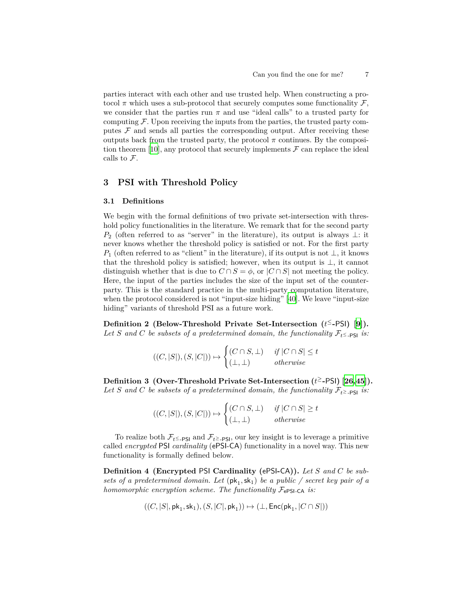parties interact with each other and use trusted help. When constructing a protocol  $\pi$  which uses a sub-protocol that securely computes some functionality  $\mathcal{F}$ , we consider that the parties run  $\pi$  and use "ideal calls" to a trusted party for computing  $\mathcal F$ . Upon receiving the inputs from the parties, the trusted party computes  $F$  and sends all parties the corresponding output. After receiving these outputs back from the trusted party, the protocol  $\pi$  continues. By the composi-tion theorem [[10\]](#page-23-18), any protocol that securely implements  $\mathcal F$  can replace the ideal calls to *F*.

## <span id="page-6-2"></span>**3 PSI with Threshold Policy**

#### **3.1 Definitions**

We begin with the formal definitions of two private set-intersection with threshold policy functionalities in the literature. We remark that for the second party *P*<sup>2</sup> (often referred to as "server" in the literature), its output is always *⊥*: it never knows whether the threshold policy is satisfied or not. For the first party *P*<sup>1</sup> (often referred to as "client" in the literature), if its output is not *⊥*, it knows that the threshold policy is satisfied; however, when its output is *⊥*, it cannot distinguish whether that is due to  $C \cap S = \phi$ , or  $|C \cap S|$  not meeting the policy. Here, the input of the parties includes the size of the input set of the counterparty. This is the standard practice in the multi-party computation literature, when the protocol considered is not "input-size hiding" [\[40](#page-24-17)]. We leave "input-size hiding" variants of threshold PSI as a future work.

<span id="page-6-0"></span>**Definition 2 (Below-Threshold Private Set-Intersection (***t <sup>≤</sup>***-**PSI**) [\[9\]](#page-23-0)).** *Let S* and *C be subsets of a predetermined domain, the functionality*  $\mathcal{F}_{t}$ <sub> $\leq$ -PSI</sub> *is:* 

$$
((C, |S|), (S, |C|)) \mapsto \begin{cases} (C \cap S, \perp) & \text{if } |C \cap S| \le t \\ (\perp, \perp) & otherwise \end{cases}
$$

**Definition 3 (Over-Threshold Private Set-Intersection (***t <sup>≥</sup>***-**PSI**) [[26](#page-24-14),[45](#page-24-0)]).** *Let S* and *C be subsets of a predetermined domain, the functionality*  $\mathcal{F}_{t\geq -PSI}$  *is:* 

> $((C, |S|), (S, |C|)) \mapsto$  $\int (C \cap S, \perp)$  *if*  $|C \cap S| \ge t$ (*⊥, ⊥*) *otherwise*

To realize both  $\mathcal{F}_{t}$ <sup> $\leq$ </sup>-PSI and  $\mathcal{F}_{t}$ <sup> $\geq$ </sup>-PSI, our key insight is to leverage a primitive called *encrypted* PSI *cardinality* (ePSI-CA) functionality in a novel way. This new functionality is formally defined below.

<span id="page-6-1"></span>**Definition 4 (Encrypted** PSI **Cardinality (**ePSI**-**CA**)).** *Let S and C be subsets of a predetermined domain.* Let  $(\mathsf{pk}_1, \mathsf{sk}_1)$  *be a public / secret key pair of a homomorphic encryption scheme. The functionality*  $\mathcal{F}_{ePSI-CA}$  *is:* 

$$
((C, |S|, \mathsf{pk}_1, \mathsf{sk}_1), (S, |C|, \mathsf{pk}_1)) \mapsto (\bot, \mathsf{Enc}(\mathsf{pk}_1, |C \cap S|))
$$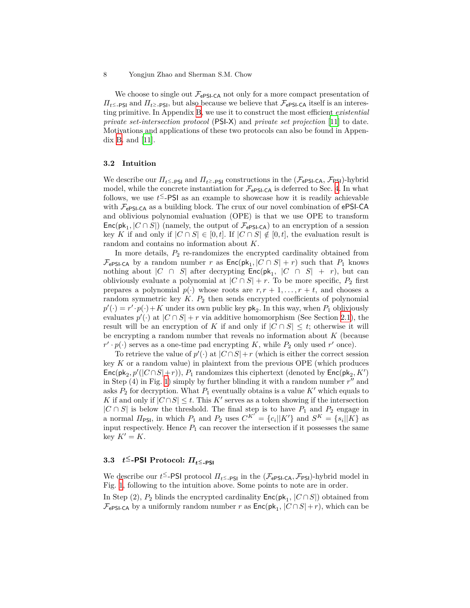We choose to single out  $\mathcal{F}_{\epsilon}$ <sub>PSI-CA</sub> not only for a more compact presentation of  $\Pi_{t}$ <sup> $\leq$ </sup>-PSI and  $\Pi_{t}$ <sup> $\geq$ </sup>-PSI, but also because we believe that  $\mathcal{F}_{e}$ PSI-CA itself is an interesting primitive. In Appendix [B](#page-25-0), we use it to construct the most efficient *existential private set-intersection protocol* (PSI-X) and *private set projection* [\[11](#page-23-1)] to date. Motivations and applications of these two protocols can also be found in Appendix [B.](#page-25-0) and [[11\]](#page-23-1).

### **3.2 Intuition**

We describe our  $\Pi_{t} \leq P_{\text{SI}}$  and  $\Pi_{t} \geq P_{\text{SI}}$  constructions in the ( $\mathcal{F}_{\text{ePSI-CA}}$ ,  $\mathcal{F}_{\text{PSI}}$ )-hybrid model, while the concrete instantiation for  $\mathcal{F}_{\mathsf{ePSLCA}}$  is deferred to Sec. [4](#page-11-0). In what follows, we use  $t \leq$ -PSI as an example to showcase how it is readily achievable with  $\mathcal{F}_{ePSI-CA}$  as a building block. The crux of our novel combination of  $ePSI-CA$ and oblivious polynomial evaluation (OPE) is that we use OPE to transform  $Enc(\mathsf{pk}_1, [C \cap S])$  (namely, the output of  $\mathcal{F}_{\mathsf{ePSLCA}}$ ) to an encryption of a session key *K* if and only if  $|C \cap S|$  ∈  $[0, t]$ . If  $|C \cap S|$  ∉  $[0, t]$ , the evaluation result is random and contains no information about *K*.

In more details,  $P_2$  re-randomizes the encrypted cardinality obtained from  $\mathcal{F}_{\text{ePSLCA}}$  by a random number *r* as  $\textsf{Enc}(\textsf{pk}_1, |C \cap S| + r)$  such that  $P_1$  knows nothing about  $|C \cap S|$  after decrypting  $Enc(pk_1, |C \cap S| + r)$ , but can obliviously evaluate a polynomial at  $|C \cap S| + r$ . To be more specific,  $P_2$  first prepares a polynomial  $p(\cdot)$  whose roots are  $r, r + 1, \ldots, r + t$ , and chooses a random symmetric key  $K$ .  $P_2$  then sends encrypted coefficients of polynomial  $p'(\cdot) = r' \cdot p(\cdot) + K$  under its own public key  $pk_2$ . In this way, when  $P_1$  obliviously evaluates  $p'(\cdot)$  at  $|C \cap S| + r$  via additive homomorphism (See Section [2.1\)](#page-4-0), the result will be an encryption of *K* if and only if  $|C \cap S| \leq t$ ; otherwise it will be encrypting a random number that reveals no information about *K* (because  $r' \cdot p(\cdot)$  serves as a one-time pad encrypting *K*, while  $P_2$  only used *r*<sup>'</sup> once).

To retrieve the value of  $p'(\cdot)$  at  $|C \cap S| + r$  (which is either the correct session key *K* or a random value) in plaintext from the previous OPE (which produces  $Enc(\mathsf{pk}_2, p'(|C \cap S| + r))$ ,  $P_1$  randomizes this ciphertext (denoted by  $Enc(\mathsf{pk}_2, K')$ in Step (4) in Fig. [1](#page-8-0)) simply by further blinding it with a random number *r ′′* and asks  $P_2$  for decryption. What  $P_1$  eventually obtains is a value  $K'$  which equals to *K* if and only if  $|C \cap S| \le t$ . This *K'* serves as a token showing if the intersection *|C ∩ S|* is below the threshold. The final step is to have *P*<sup>1</sup> and *P*<sup>2</sup> engage in a normal  $\Pi_{PSI}$ , in which  $P_1$  and  $P_2$  uses  $C^{K'} = \{c_i | |K'\}$  and  $S^K = \{s_i | K\}$  as input respectively. Hence  $P_1$  can recover the intersection if it possesses the same  $key K' = K$ .

#### **3.3** *t <sup>≤</sup>***-PSI Protocol:** *Π<sup>t</sup>≤***-PSI**

We describe our *t <sup>≤</sup>*-PSI protocol *Π<sup>t</sup>≤*-PSI in the (*F*ePSI-CA*, F*PSI)-hybrid model in Fig. [1](#page-8-0), following to the intuition above. Some points to note are in order.

In Step (2),  $P_2$  blinds the encrypted cardinality  $\mathsf{Enc}(\mathsf{pk}_1, |C \cap S|)$  obtained from  $\mathcal{F}_{\text{ePSLCA}}$  by a uniformly random number *r* as  $\text{Enc}(\text{pk}_1, |C \cap S| + r)$ , which can be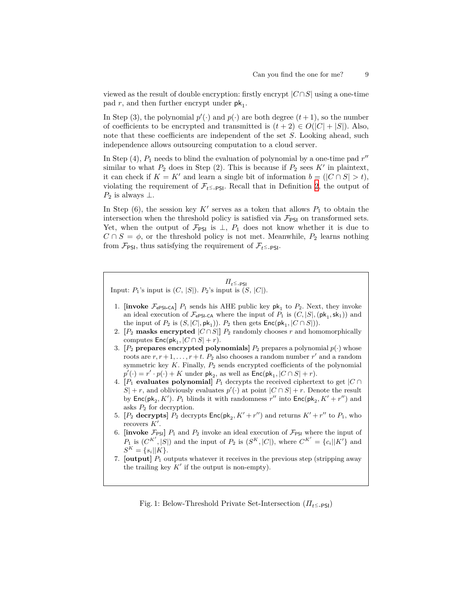viewed as the result of double encryption: firstly encrypt  $|C \cap S|$  using a one-time pad  $r$ , and then further encrypt under  $pk_1$ .

In Step (3), the polynomial  $p'(\cdot)$  and  $p(\cdot)$  are both degree  $(t+1)$ , so the number of coefficients to be encrypted and transmitted is  $(t + 2) \in O(|C| + |S|)$ . Also, note that these coefficients are independent of the set *S*. Looking ahead, such independence allows outsourcing computation to a cloud server.

In Step  $(4)$ ,  $P_1$  needs to blind the evaluation of polynomial by a one-time pad  $r''$ similar to what  $P_2$  does in Step (2). This is because if  $P_2$  sees  $K'$  in plaintext, it can check if  $K = K'$  and learn a single bit of information  $b = (|C \cap S| > t)$ , violating the requirement of  $\mathcal{F}_{t^{\leq}$ -PSI. Recall that in Definition [2](#page-6-0), the output of *P*<sup>2</sup> is always *⊥*.

In Step  $(6)$ , the session key  $K'$  serves as a token that allows  $P_1$  to obtain the intersection when the threshold policy is satisfied via  $\mathcal{F}_{PSI}$  on transformed sets. Yet, when the output of  $\mathcal{F}_{PSI}$  is  $\perp$ ,  $P_1$  does not know whether it is due to  $C \cap S = \phi$ , or the threshold policy is not met. Meanwhile,  $P_2$  learns nothing from  $\mathcal{F}_{PSI}$ , thus satisfying the requirement of  $\mathcal{F}_{t^{\leq}}$ -psi-

## *Π<sup>t</sup>≤*-PSI

<span id="page-8-0"></span>Input:  $P_1$ 's input is  $(C, |S|)$ .  $P_2$ 's input is  $(S, |C|)$ .

- 1. **[invoke**  $\mathcal{F}_{ePSI-CA}$ ]  $P_1$  sends his AHE public key  $pk_1$  to  $P_2$ . Next, they invoke an ideal execution of  $\mathcal{F}_{ePSI-CA}$  where the input of  $P_1$  is  $(C, |S|, (\mathsf{pk}_1, \mathsf{sk}_1))$  and the input of  $P_2$  is  $(S, |C|, \mathsf{pk}_1)$ ).  $P_2$  then gets  $\mathsf{Enc}(\mathsf{pk}_1, |C \cap S|)$ .
- 2. [ $P_2$  **masks encrypted**  $|C \cap S|$ ]  $P_2$  randomly chooses  $r$  and homomorphically  $\mathsf{computes}\ \mathsf{Enc}(\mathsf{pk}_1, |C \cap S| + r).$
- 3. [ $P_2$  **prepares encrypted polynomials**]  $P_2$  prepares a polynomial  $p(\cdot)$  whose roots are  $r, r+1, \ldots, r+t$ .  $P_2$  also chooses a random number  $r'$  and a random symmetric key  $K$ . Finally,  $P_2$  sends encrypted coefficients of the polynomial  $p'(\cdot) = r' \cdot p(\cdot) + K$  under  $pk_2$ , as well as  $Enc(pk_1, |C \cap S| + r)$ .
- 4. **[***P*<sub>1</sub> **evaluates polynomial]**  $P_1$  decrypts the received ciphertext to get  $|C \cap C|$  $S$ <sup>*|*</sup> + *r*, and obliviously evaluates  $p'$  (*·*) at point  $|C \cap S|$  + *r*. Denote the result by  $Enc(\mathsf{pk}_2, K')$ .  $P_1$  blinds it with randomness  $r''$  into  $Enc(\mathsf{pk}_2, K' + r'')$  and asks *P*<sup>2</sup> for decryption.
- 5.  $[P_2$  **decrypts**  $P_2$  decrypts  $Enc(\mathsf{pk}_2, K' + r'')$  and returns  $K' + r''$  to  $P_1$ , who recovers *K′* .
- 6. **[invoke**  $\mathcal{F}_{PSI}$ ]  $P_1$  and  $P_2$  invoke an ideal execution of  $\mathcal{F}_{PSI}$  where the input of  $P_1$  is  $(C^{K'}, |S|)$  and the input of  $P_2$  is  $(S^K, |C|)$ , where  $C^{K'} = \{c_i | K'\}$  and  $S^K = \{s_i | |K\}.$
- 7. **[output]**  $P_1$  outputs whatever it receives in the previous step (stripping away the trailing key  $K'$  if the output is non-empty).

Fig. 1: Below-Threshold Private Set-Intersection (*Π<sup>t</sup>≤*-PSI)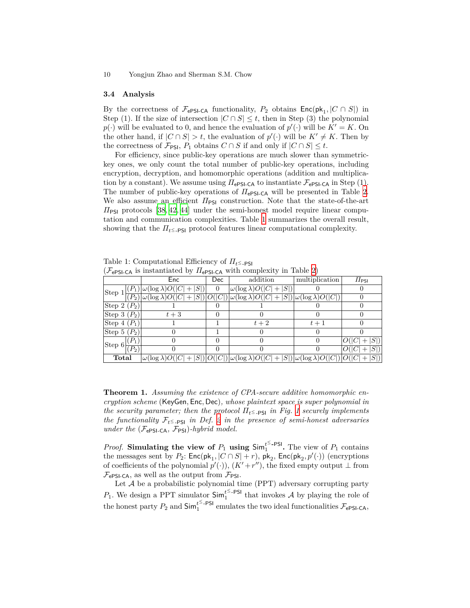#### **3.4 Analysis**

By the correctness of  $\mathcal{F}_{ePSI-CA}$  functionality,  $P_2$  obtains  $Enc(pk_1, |C \cap S|)$  in Step (1). If the size of intersection  $|C \cap S| \le t$ , then in Step (3) the polynomial  $p(\cdot)$  will be evaluated to 0, and hence the evaluation of  $p'(\cdot)$  will be  $K' = K$ . On the other hand, if  $|C \cap S| > t$ , the evaluation of  $p'(\cdot)$  will be  $K' \neq K$ . Then by the correctness of  $\mathcal{F}_{PSI}$ ,  $P_1$  obtains  $C \cap S$  if and only if  $|C \cap S| \leq t$ .

For efficiency, since public-key operations are much slower than symmetrickey ones, we only count the total number of public-key operations, including encryption, decryption, and homomorphic operations (addition and multiplication by a constant). We assume using  $\Pi_{\text{ePSI-CA}}$  to instantiate  $\mathcal{F}_{\text{ePSI-CA}}$  in Step (1). The number of public-key operations of  $\Pi_{\text{ePSI-CA}}$  will be presented in Table [2.](#page-13-0) We also assume an efficient *Π*<sub>PSI</sub> construction. Note that the state-of-the-art  $\Pi_{PSI}$  protocols [[38](#page-24-7), [42](#page-24-9), [44\]](#page-24-10) under the semi-honest model require linear computation and communication complexities. Table [1](#page-9-0) summarizes the overall result, showing that the  $\Pi_{t \leq P}$  protocol features linear computational complexity.

<span id="page-9-0"></span>Table 1: Computational Efficiency of *Π*<sup>*t*</sup>*≤*-PSI  $(\mathcal{F}_{\epsilon}$ <sub>PSI-CA</sub> is instantiated by  $\Pi_{\epsilon}$ <sub>PSI-CA</sub> with complexity in Table [2](#page-13-0))

| $\mathcal{L}$ erg-ca is instantant strong increasing the most $\mathcal{L}$ |                                     |          |                                         |                                       |                      |
|-----------------------------------------------------------------------------|-------------------------------------|----------|-----------------------------------------|---------------------------------------|----------------------|
|                                                                             | Enc                                 | Dec      | addition                                | multiplication                        | $\Pi_{\mathsf{PSI}}$ |
| $(P_1)$<br>Step *                                                           | S )<br>$\omega(\log \lambda)O( C )$ | $\theta$ | $+ S $<br>$ \omega(\log \lambda)O( C )$ |                                       |                      |
| $P_2$ )                                                                     | $\omega(\log \lambda)$              |          | $ O( C ) \omega(\log \lambda)O( C )$    | $+ S $   $\omega(\log \lambda)O( C )$ |                      |
| Step 2 $(P_2)$                                                              |                                     |          |                                         |                                       |                      |
| $\sqrt{\text{Step 3}(P_2)}$                                                 | $t+3$                               |          |                                         |                                       |                      |
| $\sqrt{\text{Step 4}(P_1)}$                                                 |                                     |          | $t+2$                                   | $t+1$                                 |                      |
| Step 5 $(P_2)$                                                              |                                     |          |                                         |                                       |                      |
| $P_1$<br>Step 6                                                             |                                     |          |                                         |                                       |                      |
| $(P_2)$                                                                     |                                     |          |                                         |                                       |                      |
| Total                                                                       | $\omega(\log \lambda)O($            |          | $ \omega(\log \lambda)O( C )$           | $ \omega(\log \lambda)O( C )$         |                      |

<span id="page-9-1"></span>**Theorem 1.** *Assuming the existence of CPA-secure additive homomorphic encryption scheme* (KeyGen*,* Enc*,* Dec)*, whose plaintext space is super polynomial in the security parameter; then the protocol*  $\Pi_{t \leq -PSI}$  *in Fig.* [1](#page-8-0) *securely implements the functionality*  $\mathcal{F}_{t^{\leq}}$ - $P\text{S1}$  *in Def.* [2](#page-6-0) *in the presence of semi-honest adversaries under the*  $(\mathcal{F}_{\text{ePSI-CA}}, \mathcal{F}_{\text{PSI}})$ *-hybrid model.* 

*Proof.* **Simulating the view of**  $P_1$  **using**  $\textsf{Sim}_1^{t \leq -PSI}$ . The view of  $P_1$  contains the messages sent by  $P_2$ :  $Enc(\mathsf{pk}_1, |C \cap S| + r)$ ,  $\mathsf{pk}_2$ ,  $Enc(\mathsf{pk}_2, p'(\cdot))$  (encryptions of coefficients of the polynomial  $p'(\cdot)$ ,  $(K' + r'')$ , the fixed empty output  $\bot$  from  $\mathcal{F}_{\text{ePSI-CA}}$ , as well as the output from  $\mathcal{F}_{\text{PSI}}$ .

Let  $A$  be a probabilistic polynomial time (PPT) adversary corrupting party *P*<sub>1</sub>. We design a PPT simulator  $\text{Sim}_{1}^{t \leq -PSI}$  that invokes *A* by playing the role of the honest party  $P_2$  and  $\text{Sim}_1^{t^{\leq -PSI}}$  emulates the two ideal functionalities  $\mathcal{F}_{\text{ePSI-CA}}$ ,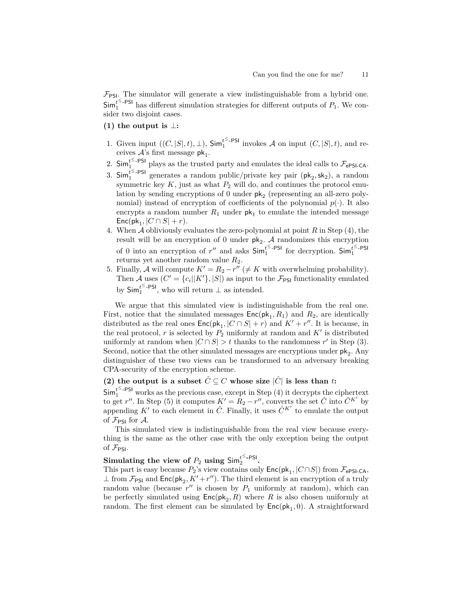$\mathcal{F}_{PSI}$ . The simulator will generate a view indistinguishable from a hybrid one.  $\sin t_1^{\xi^2 - PSI}$  has different simulation strategies for different outputs of  $P_1$ . We consider two disjoint cases.

## **(1) the output is** *⊥***:**

- 1. Given input  $((C, |S|, t), \perp)$ ,  $\text{Sim}_1^{t^{\leq -PSI}}$  invokes *A* on input  $(C, |S|, t)$ , and receives  $\mathcal{A}$ 's first message  $pk_1$ .
- 2.  $\sinh 1 \leq P\text{S1}$  plays as the trusted party and emulates the ideal calls to  $\mathcal{F}_{\text{ePSI-CA}}$ .
- 3.  $\sin^{t^{\leq} PSI}$  generates a random public/private key pair ( $pk_2, sk_2$ ), a random symmetric key  $K$ , just as what  $P_2$  will do, and continues the protocol emulation by sending encryptions of 0 under  $pk<sub>2</sub>$  (representing an all-zero polynomial) instead of encryption of coefficients of the polynomial  $p(\cdot)$ . It also encrypts a random number  $R_1$  under  $\mathsf{pk}_1$  to emulate the intended message  $\mathsf{Enc}(\mathsf{pk}_1, |C \cap S| + r).$
- 4. When *A* obliviously evaluates the zero-polynomial at point *R* in Step (4), the result will be an encryption of 0 under  $pk_2$ . *A* randomizes this encryption of 0 into an encryption of  $r''$  and asks  $\text{Sim}_{1}^{t^{\leq -PSI}}$  for decryption.  $\text{Sim}_{1}^{t^{\leq -PSI}}$ returns yet another random value *R*2.
- 5. Finally, *A* will compute  $K' = R_2 r'' \ (\neq K \text{ with overwhelming probability}).$ Then *A* uses  $(C' = \{c_i | K'\}, |S|)$  as input to the  $\mathcal{F}_{PSI}$  functionality emulated by  $\mathsf{Sim}_1^{\mathsf{t}^{\leq -PSI}}$ , who will return  $\perp$  as intended.

We argue that this simulated view is indistinguishable from the real one. First, notice that the simulated messages  $Enc(\mathsf{pk}_1, R_1)$  and  $R_2$ , are identically distributed as the real ones  $Enc(\mathsf{pk}_1, |C \cap S| + r)$  and  $K' + r''$ . It is because, in the real protocol,  $r$  is selected by  $P_2$  uniformly at random and  $K'$  is distributed uniformly at random when  $|C \cap S| > t$  thanks to the randomness r' in Step (3). Second, notice that the other simulated messages are encryptions under  $\mathsf{pk}_2$  . Any distinguisher of these two views can be transformed to an adversary breaking CPA-security of the encryption scheme.

## **(2)** the output is a subset  $\hat{C} \subseteq C$  whose size  $|\hat{C}|$  is less than *t*:

 $\sin t_1^{\xi^2 - PSI}$  works as the previous case, except in Step (4) it decrypts the ciphertext to get *r*<sup>*′′*</sup>. In Step (5) it computes  $K' = R_2 - r''$ , converts the set  $\hat{C}$  into  $\hat{C}^{K'}$  by appending  $K'$  to each element in  $\hat{C}$ . Finally, it uses  $\hat{C}^{K'}$  to emulate the output of  $\mathcal{F}_{PSI}$  for  $\mathcal{A}$ .

This simulated view is indistinguishable from the real view because everything is the same as the other case with the only exception being the output of  $\mathcal{F}_{PSI}$ .

# Simulating the view of  $P_2$  using  $\textsf{Sim}_2^{t \leq -\textsf{PSI}}$ .

This part is easy because  $P_2$ 's view contains only  $\mathsf{Enc}(\mathsf{pk}_1, |C \cap S|)$  from  $\mathcal{F}_{\mathsf{ePSLCA}},$ *⊥* from  $\mathcal{F}_{PSI}$  and  $Enc(\mathsf{pk}_2, K' + r'')$ . The third element is an encryption of a truly random value (because  $r''$  is chosen by  $P_1$  uniformly at random), which can be perfectly simulated using  $Enc(pk_2, R)$  where  $R$  is also chosen uniformly at random. The first element can be simulated by  $Enc(pk_1, 0)$ . A straightforward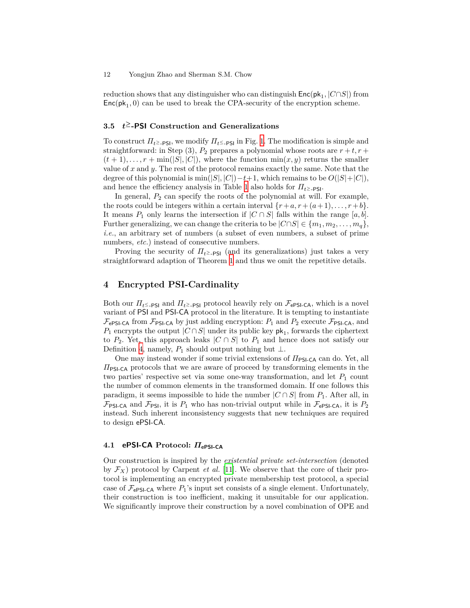reduction shows that any distinguisher who can distinguish  $\mathsf{Enc}(\mathsf{pk}_1, |C \cap S|)$  from  $Enc(\mathsf{pk}_1, 0)$  can be used to break the CPA-security of the encryption scheme.

### **3.5** *t <sup>≥</sup>***-PSI Construction and Generalizations**

To construct  $\Pi_{t\geq -PSI}$ , we modify  $\Pi_{t\leq -PSI}$  in Fig. [1.](#page-8-0) The modification is simple and straightforward: in Step (3),  $P_2$  prepares a polynomial whose roots are  $r + t, r +$  $(t + 1), \ldots, r + \min(|S|, |C|)$ , where the function  $\min(x, y)$  returns the smaller value of *x* and *y*. The rest of the protocol remains exactly the same. Note that the degree of this polynomial is min( $|S|$ ,  $|C|$ ) $-t+1$ , which remains to be  $O(|S|+|C|)$ , and hence the efficiency analysis in Table [1](#page-9-0) also holds for  $\Pi_{t\geq -PSI}$ .

In general,  $P_2$  can specify the roots of the polynomial at will. For example, the roots could be integers within a certain interval  $\{r+a, r+(a+1), \ldots, r+b\}$ . It means  $P_1$  only learns the intersection if  $|C \cap S|$  falls within the range  $[a, b]$ . Further generalizing, we can change the criteria to be  $|C \cap S| \in \{m_1, m_2, \ldots, m_q\}$ , *i.e.*, an arbitrary set of numbers (a subset of even numbers, a subset of prime numbers, *etc.*) instead of consecutive numbers.

Proving the security of  $\Pi_{t^{\geq -PS}}$  (and its generalizations) just takes a very straightforward adaption of Theorem [1](#page-9-1) and thus we omit the repetitive details.

## <span id="page-11-0"></span>**4 Encrypted PSI-Cardinality**

Both our  $\Pi_{t \leq -PSI}$  and  $\Pi_{t \geq -PSI}$  protocol heavily rely on  $\mathcal{F}_{ePSI-CA}$ , which is a novel variant of PSI and PSI-CA protocol in the literature. It is tempting to instantiate  $\mathcal{F}_{\text{ePSI-CA}}$  from  $\mathcal{F}_{\text{PSI-CA}}$  by just adding encryption:  $P_1$  and  $P_2$  execute  $\mathcal{F}_{\text{PSI-CA}}$ , and *P*<sub>1</sub> encrypts the output  $|C \cap S|$  under its public key  $pk_1$ , forwards the ciphertext to  $P_2$ . Yet, this approach leaks  $|C \cap S|$  to  $P_1$  and hence does not satisfy our Definition [4](#page-6-1), namely, *P*<sup>1</sup> should output nothing but *⊥*.

One may instead wonder if some trivial extensions of  $\Pi_{PSI-CA}$  can do. Yet, all *Π*PSI-CA protocols that we are aware of proceed by transforming elements in the two parties' respective set via some one-way transformation, and let  $P_1$  count the number of common elements in the transformed domain. If one follows this paradigm, it seems impossible to hide the number  $|C \cap S|$  from  $P_1$ . After all, in  $\mathcal{F}_{PSLCA}$  and  $\mathcal{F}_{PSI}$ , it is  $P_1$  who has non-trivial output while in  $\mathcal{F}_{ePSLCA}$ , it is  $P_2$ instead. Such inherent inconsistency suggests that new techniques are required to design ePSI-CA.

### <span id="page-11-1"></span>**4.1 ePSI-CA Protocol:** *Π***ePSI-CA**

Our construction is inspired by the *existential private set-intersection* (denoted by  $\mathcal{F}_X$ ) protocol by Carpent *et al.* [\[11](#page-23-1)]. We observe that the core of their protocol is implementing an encrypted private membership test protocol, a special case of  $\mathcal{F}_{\text{ePSLCA}}$  where  $P_1$ 's input set consists of a single element. Unfortunately, their construction is too inefficient, making it unsuitable for our application. We significantly improve their construction by a novel combination of OPE and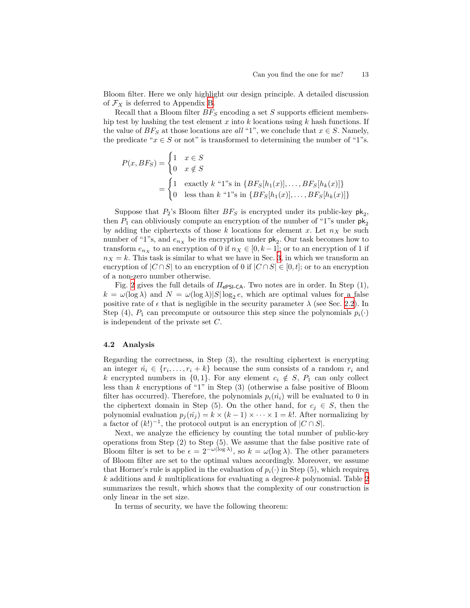Bloom filter. Here we only highlight our design principle. A detailed discussion of  $\mathcal{F}_X$  is deferred to Appendix [B.](#page-25-0)

Recall that a Bloom filter *BF<sup>S</sup>* encoding a set *S* supports efficient membership test by hashing the test element *x* into *k* locations using *k* hash functions. If the value of  $BF_S$  at those locations are *all* "1", we conclude that  $x \in S$ . Namely, the predicate " $x \in S$  or not" is transformed to determining the number of "1"s.

$$
P(x, BF_S) = \begin{cases} 1 & x \in S \\ 0 & x \notin S \end{cases}
$$
  
= 
$$
\begin{cases} 1 & \text{exactly } k \text{ "1"s in } \{BF_S[h_1(x)], \dots, BF_S[h_k(x)]\} \\ 0 & \text{less than } k \text{ "1"s in } \{BF_S[h_1(x)], \dots, BF_S[h_k(x)]\} \end{cases}
$$

Suppose that  $P_2$ 's Bloom filter  $BF_S$  is encrypted under its public-key  $pk_2$ , then  $P_1$  can obliviously compute an encryption of the number of "1"s under  $pk_2$ by adding the ciphertexts of those *k* locations for element *x*. Let *n<sup>X</sup>* be such number of "1"s, and  $e_{n_X}$  be its encryption under  $\mathsf{pk}_2$ . Our task becomes how to transform  $e_{n_X}$  to an encryption of 0 if  $n_X \in [0, k-1]$ ; or to an encryption of 1 if  $n_X = k$ . This task is similar to what we have in Sec. [3](#page-6-2), in which we transform an encryption of  $|C \cap S|$  to an encryption of 0 if  $|C \cap S| \in [0, t]$ ; or to an encryption of a non-zero number otherwise.

Fig. [2](#page-13-1) gives the full details of  $\Pi_{ePSI-CA}$ . Two notes are in order. In Step (1),  $k = \omega(\log \lambda)$  and  $N = \omega(\log \lambda)|S|\log_2 e$ , which are optimal values for a false positive rate of  $\epsilon$  that is negligible in the security parameter  $\lambda$  (see Sec. [2.2\)](#page-4-1). In Step (4),  $P_1$  can precompute or outsource this step since the polynomials  $p_i(\cdot)$ is independent of the private set *C*.

#### **4.2 Analysis**

Regarding the correctness, in Step (3), the resulting ciphertext is encrypting an integer  $\hat{n_i} \in \{r_i, \ldots, r_i + k\}$  because the sum consists of a random  $r_i$  and *k* encrypted numbers in  $\{0,1\}$ . For any element  $c_i \notin S$ ,  $P_1$  can only collect less than *k* encryptions of "1" in Step (3) (otherwise a false positive of Bloom filter has occurred). Therefore, the polynomials  $p_i(\hat{n}_i)$  will be evaluated to 0 in the ciphertext domain in Step (5). On the other hand, for  $c_j \in S$ , then the polynomial evaluation  $p_i(\hat{n}_i) = k \times (k-1) \times \cdots \times 1 = k!$ . After normalizing by a factor of  $(k!)^{-1}$ , the protocol output is an encryption of  $|C \cap S|$ .

Next, we analyze the efficiency by counting the total number of public-key operations from Step (2) to Step (5). We assume that the false positive rate of Bloom filter is set to be  $\epsilon = 2^{-\omega(\log \lambda)}$ , so  $k = \omega(\log \lambda)$ . The other parameters of Bloom filter are set to the optimal values accordingly. Moreover, we assume that Horner's rule is applied in the evaluation of  $p_i(\cdot)$  in Step (5), which requires *k* additions and *k* multiplications for evaluating a degree-*k* polynomial. Table [2](#page-13-0) summarizes the result, which shows that the complexity of our construction is only linear in the set size.

In terms of security, we have the following theorem: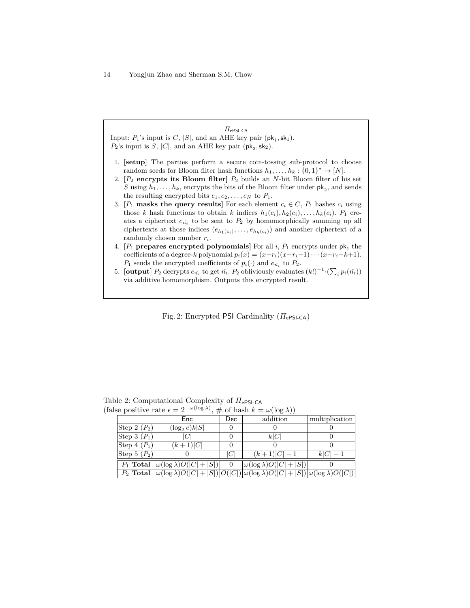## <span id="page-13-1"></span>*Π*ePSI-CA Input:  $P_1$ 's input is  $C$ ,  $|S|$ , and an AHE key pair  $(\mathsf{pk}_1, \mathsf{sk}_1)$ .  $P_2$ 's input is  $S$ ,  $|C|$ , and an AHE key pair  $(\mathsf{pk}_2, \mathsf{sk}_2)$ . 1. **[setup]** The parties perform a secure coin-tossing sub-protocol to choose random seeds for Bloom filter hash functions  $h_1, \ldots, h_k : \{0,1\}^* \to [N]$ . 2.  $[P_2 \text{ encrypts its Bloom filter}]$   $P_2 \text{ builds an } N\text{-bit Bloom filter of his set}$ *S* using  $h_1, \ldots, h_k$ , encrypts the bits of the Bloom filter under  $pk_2$ , and sends the resulting encrypted bits  $e_1, e_2, \ldots, e_N$  to  $P_1$ . 3.  $[P_1$  **masks the query results** For each element  $c_i \in C$ ,  $P_1$  hashes  $c_i$  using those *k* hash functions to obtain *k* indices  $h_1(c_i), h_2(c_i), \ldots, h_k(c_i)$ .  $P_1$  creates a ciphertext  $e_{n_i}$  to be sent to  $P_2$  by homomorphically summing up all ciphertexts at those indices  $(e_{h_1(c_i)}, \ldots, e_{h_k(c_i)})$  and another ciphertext of a randomly chosen number *ri*. 4.  $[P_1$  **prepares encrypted polynomials** For all *i*,  $P_1$  encrypts under  $pk_1$  the coefficients of a degree-*k* polynomial  $p_i(x) = (x - r_i)(x - r_i - 1) \cdot \cdot \cdot (x - r_i - k + 1)$ .  $P_1$  sends the encrypted coefficients of  $p_i(\cdot)$  and  $e_{\hat{n_i}}$  to  $P_2$ . 5. **[output]**  $P_2$  decrypts  $e_{\hat{n_i}}$  to get  $\hat{n_i}$ .  $P_2$  obliviously evaluates  $(k!)^{-1} \cdot (\sum_i p_i(\hat{n_i}))$ via additive homomorphism. Outputs this encrypted result.

Fig. 2: Encrypted PSI Cardinality ( $\Pi$ <sub>ePSI-CA</sub>)

| $\sec$ positive rate $\epsilon = 2$<br>$, \#$ Of Hash $\kappa = \omega(\log \Lambda)$ |                                                                                                                  |                |                                    |                |
|---------------------------------------------------------------------------------------|------------------------------------------------------------------------------------------------------------------|----------------|------------------------------------|----------------|
|                                                                                       | Enc                                                                                                              | Dec            | addition                           | multiplication |
| Step 2 $(P_2)$                                                                        | $(\log_2 e)k S $                                                                                                 |                |                                    |                |
| Step 3 $(P_1)$                                                                        |                                                                                                                  |                | k C                                |                |
| $ \text{Step 4}(P_1) $                                                                | $(k+1) C $                                                                                                       |                |                                    |                |
| $ \text{Step 5} (P_2) $                                                               |                                                                                                                  | C              | $(k+1) C -1$                       | $k C +1$       |
|                                                                                       | $P_1$ Total $ \omega(\log \lambda)O( C + S ) $                                                                   | $\overline{0}$ | $ \omega(\log \lambda)O( C + S ) $ |                |
|                                                                                       | $P_2$ Total $ \omega(\log \lambda)O( C + S ) O( C ) \omega(\log \lambda)O( C + S ) \omega(\log \lambda)O( C ) )$ |                |                                    |                |

<span id="page-13-0"></span>Table 2: Computational Complexity of  $\Pi_{\text{ePSI-CA}}$ (false positive rate  $\epsilon = 2^{-\omega(\log \lambda)}$ , # of hash  $k = \omega(\log \lambda)$ )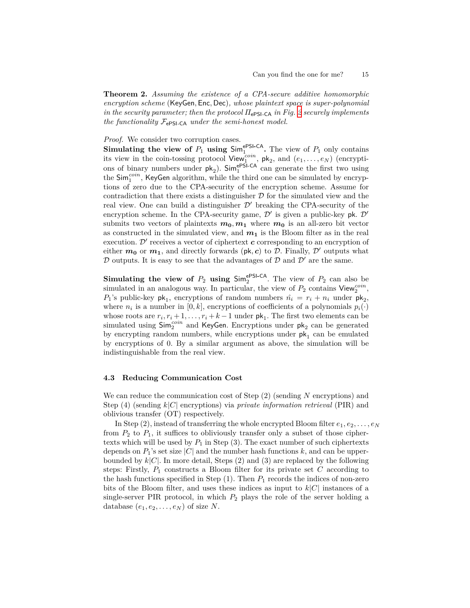**Theorem 2.** *Assuming the existence of a CPA-secure additive homomorphic encryption scheme* (KeyGen*,* Enc*,* Dec)*, whose plaintext space is super-polynomial in the security parameter; then the protocol*  $\Pi_{ePSI-CA}$  *in Fig.* [2](#page-13-1) *securely implements the functionality F*ePSI*-*CA *under the semi-honest model.*

*Proof.* We consider two corruption cases.

**Simulating the view of**  $P_1$  **using**  $\textsf{Sim}_1^{\textsf{ePSI-CA}}$ **.** The view of  $P_1$  only contains **EXECUTE:** FOR SITE VIEW OF  $T_1$  using  $\text{Sim}_1$ . The view of  $T_1$  only contains its view in the coin-tossing protocol View<sub>1</sub><sup>*coin*</sup>,  $\mathsf{pk}_2$ , and  $(e_1, \ldots, e_N)$  (encryptions of binary numbers under  $pk_2$ ). Sim<sup>ePSI-CA</sup> can generate the first two using the Sim<sup>coin</sup>, KeyGen algorithm, while the third one can be simulated by encryptions of zero due to the CPA-security of the encryption scheme. Assume for contradiction that there exists a distinguisher *D* for the simulated view and the real view. One can build a distinguisher  $\mathcal{D}'$  breaking the CPA-security of the encryption scheme. In the CPA-security game, *D′* is given a public-key pk. *D′* submits two vectors of plaintexts  $m_0, m_1$  where  $m_0$  is an all-zero bit vector as constructed in the simulated view, and  $m_1$  is the Bloom filter as in the real execution. *D′* receives a vector of ciphertext *c* corresponding to an encryption of either  $m_0$  or  $m_1$ , and directly forwards (pk, c) to D. Finally, D' outputs what *D* outputs. It is easy to see that the advantages of *D* and *D'* are the same.

**Simulating the view of**  $P_2$  **using**  $\textsf{Sim}_2^{\textsf{ePSI-CA}}$ . The view of  $P_2$  can also be simulated in an analogous way. In particular, the view of  $P_2$  contains  $View_2^{coin}$ , *P*<sub>1</sub>'s public-key  $pk_1$ , encryptions of random numbers  $\hat{n_i} = r_i + n_i$  under  $pk_2$ , where  $n_i$  is a number in [0, k], encryptions of coefficients of a polynomials  $p_i(\cdot)$ whose roots are  $r_i, r_i + 1, \ldots, r_i + k - 1$  under  $pk_1$ . The first two elements can be simulated using  $\textsf{Sim}^{coin}_2$  and KeyGen. Encryptions under  $\textsf{pk}_2$  can be generated by encrypting random numbers, while encryptions under  $pk<sub>1</sub>$  can be emulated by encryptions of 0. By a similar argument as above, the simulation will be indistinguishable from the real view.

#### **4.3 Reducing Communication Cost**

We can reduce the communication cost of Step (2) (sending *N* encryptions) and Step (4) (sending *k|C|* encryptions) via *private information retrieval* (PIR) and oblivious transfer (OT) respectively.

In Step (2), instead of transferring the whole encrypted Bloom filter  $e_1, e_2, \ldots, e_N$ from  $P_2$  to  $P_1$ , it suffices to obliviously transfer only a subset of those ciphertexts which will be used by  $P_1$  in Step  $(3)$ . The exact number of such ciphertexts depends on  $P_1$ 's set size  $|C|$  and the number hash functions  $k$ , and can be upperbounded by  $k|C|$ . In more detail, Steps (2) and (3) are replaced by the following steps: Firstly,  $P_1$  constructs a Bloom filter for its private set  $C$  according to the hash functions specified in Step  $(1)$ . Then  $P_1$  records the indices of non-zero bits of the Bloom filter, and uses these indices as input to  $k|C|$  instances of a single-server PIR protocol, in which  $P_2$  plays the role of the server holding a database  $(e_1, e_2, \ldots, e_N)$  of size *N*.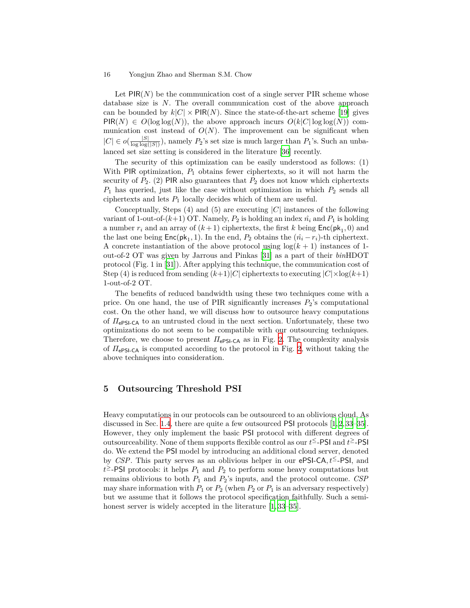Let  $PIR(N)$  be the communication cost of a single server  $PIR$  scheme whose database size is *N*. The overall communication cost of the above approach can be bounded by  $k|C| \times \text{PIR}(N)$ . Since the state-of-the-art scheme [\[19](#page-23-19)] gives  $PIR(N) \in O(log log(N))$ , the above approach incurs  $O(k|C| \log \log(N))$  communication cost instead of  $O(N)$ . The improvement can be significant when  $|C| \in o(\frac{|S|}{\log \log n})$  $\frac{|S|}{\log \log(|S|)}$ , namely  $P_2$ 's set size is much larger than  $P_1$ 's. Such an unbalanced set size setting is considered in the literature [\[36\]](#page-24-18) recently.

The security of this optimization can be easily understood as follows: (1) With PIR optimization,  $P_1$  obtains fewer ciphertexts, so it will not harm the security of  $P_2$ . (2) PIR also guarantees that  $P_2$  does not know which ciphertexts *P*<sup>1</sup> has queried, just like the case without optimization in which *P*<sup>2</sup> sends all ciphertexts and lets  $P_1$  locally decides which of them are useful.

Conceptually, Steps (4) and (5) are executing *|C|* instances of the following variant of 1-out-of- $(k+1)$  OT. Namely,  $P_2$  is holding an index  $\hat{n}_i$  and  $P_1$  is holding a number  $r_i$  and an array of  $(k+1)$  ciphertexts, the first  $k$  being  $\mathsf{Enc}(\mathsf{pk}_1, 0)$  and the last one being  $Enc(\mathsf{pk}_1, 1)$ . In the end,  $P_2$  obtains the  $(\hat{n}_i - r_i)$ -th ciphertext. A concrete instantiation of the above protocol using  $log(k + 1)$  instances of 1out-of-2 OT was given by Jarrous and Pinkas [\[31\]](#page-24-19) as a part of their *bin*HDOT protocol (Fig. 1 in [[31\]](#page-24-19)). After applying this technique, the communication cost of Step (4) is reduced from sending  $(k+1)|C|$  ciphertexts to executing  $|C|\times \log(k+1)$ 1-out-of-2 OT.

The benefits of reduced bandwidth using these two techniques come with a price. On one hand, the use of PIR significantly increases  $P_2$ 's computational cost. On the other hand, we will discuss how to outsource heavy computations of *Π*ePSI-CA to an untrusted cloud in the next section. Unfortunately, these two optimizations do not seem to be compatible with our outsourcing techniques. Therefore, we choose to present  $\Pi_{ePSLCA}$  as in Fig. [2.](#page-13-1) The complexity analysis of *Π*ePSI-CA is computed according to the protocol in Fig. [2](#page-13-1), without taking the above techniques into consideration.

## **5 Outsourcing Threshold PSI**

Heavy computations in our protocols can be outsourced to an oblivious cloud. As discussed in Sec. [1.4,](#page-3-0) there are quite a few outsourced PSI protocols [[1,](#page-23-14)[2](#page-23-20),[33](#page-24-12)[–35](#page-24-13)]. However, they only implement the basic PSI protocol with different degrees of outsourceability. None of them supports flexible control as our *t <sup>≤</sup>*-PSI and *t <sup>≥</sup>*-PSI do. We extend the PSI model by introducing an additional cloud server, denoted by *CSP*. This party serves as an oblivious helper in our ePSI-CA*, t≤*-PSI, and *t*<sup>2</sup>-PSI protocols: it helps *P*<sub>1</sub> and *P*<sub>2</sub> to perform some heavy computations but remains oblivious to both  $P_1$  and  $P_2$ 's inputs, and the protocol outcome. *CSP* may share information with  $P_1$  or  $P_2$  (when  $P_2$  or  $P_1$  is an adversary respectively) but we assume that it follows the protocol specification faithfully. Such a semihonest server is widely accepted in the literature  $[1, 33-35]$  $[1, 33-35]$  $[1, 33-35]$  $[1, 33-35]$ .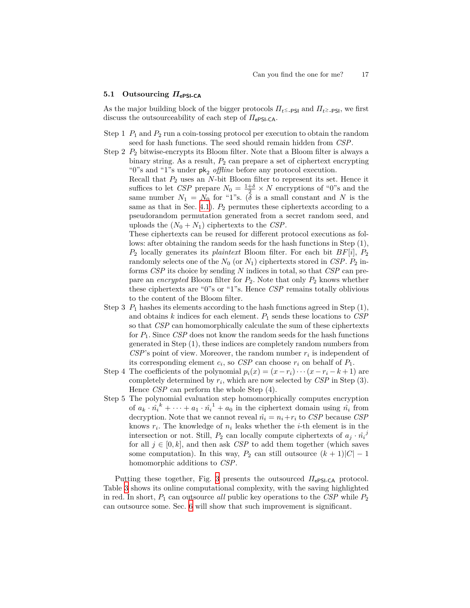#### <span id="page-16-0"></span>**5.1 Outsourcing** *Π***ePSI-CA**

As the major building block of the bigger protocols  $\Pi_{t} \leq P\text{SI}}$  and  $\Pi_{t} \geq P\text{SI}}$ , we first discuss the outsourceability of each step of  $\Pi_{\text{ePSI-CA}}$ .

- Step 1  $P_1$  and  $P_2$  run a coin-tossing protocol per execution to obtain the random seed for hash functions. The seed should remain hidden from *CSP*.
- Step 2 *P*<sup>2</sup> bitwise-encrypts its Bloom filter. Note that a Bloom filter is always a binary string. As a result,  $P_2$  can prepare a set of ciphertext encrypting "0"s and "1"s under pk<sub>2</sub> *offline* before any protocol execution. Recall that *P*<sup>2</sup> uses an *N*-bit Bloom filter to represent its set. Hence it

suffices to let *CSP* prepare  $N_0 = \frac{1+\delta}{2} \times N$  encryptions of "0"s and the same number  $N_1 = N_0$  for "1"s. ( $\overline{\delta}$  is a small constant and N is the same as that in Sec. [4.1\)](#page-11-1).  $P_2$  permutes these ciphertexts according to a pseudorandom permutation generated from a secret random seed, and uploads the  $(N_0 + N_1)$  ciphertexts to the *CSP*.

These ciphertexts can be reused for different protocol executions as follows: after obtaining the random seeds for the hash functions in Step (1), *P*<sup>2</sup> locally generates its *plaintext* Bloom filter. For each bit *BF*[*i*], *P*<sup>2</sup> randomly selects one of the  $N_0$  (or  $N_1$ ) ciphertexts stored in *CSP*.  $P_2$  informs *CSP* its choice by sending *N* indices in total, so that *CSP* can prepare an *encrypted* Bloom filter for *P*2. Note that only *P*<sup>2</sup> knows whether these ciphertexts are "0"s or "1"s. Hence *CSP* remains totally oblivious to the content of the Bloom filter.

- Step 3  $P_1$  hashes its elements according to the hash functions agreed in Step  $(1)$ , and obtains  $k$  indices for each element.  $P_1$  sends these locations to  $CSP$ so that *CSP* can homomorphically calculate the sum of these ciphertexts for *P*1. Since *CSP* does not know the random seeds for the hash functions generated in Step (1), these indices are completely random numbers from *CSP*'s point of view. Moreover, the random number  $r_i$  is independent of its corresponding element  $c_i$ , so  $CSP$  can choose  $r_i$  on behalf of  $P_1$ .
- Step 4 The coefficients of the polynomial  $p_i(x) = (x r_i) \cdots (x r_i k + 1)$  are completely determined by  $r_i$ , which are now selected by  $CSP$  in Step  $(3)$ . Hence *CSP* can perform the whole Step (4).
- Step 5 The polynomial evaluation step homomorphically computes encryption of  $a_k \cdot \hat{n_i}^k + \cdots + a_1 \cdot \hat{n_i}^1 + a_0$  in the ciphertext domain using  $\hat{n_i}$  from decryption. Note that we cannot reveal  $\hat{n}_i = n_i + r_i$  to *CSP* because *CSP* knows  $r_i$ . The knowledge of  $n_i$  leaks whether the *i*-th element is in the intersection or not. Still,  $P_2$  can locally compute ciphertexts of  $a_j \cdot \hat{n}_i^j$ for all  $j \in [0, k]$ , and then ask *CSP* to add them together (which saves some computation). In this way,  $P_2$  can still outsource  $(k+1)|C|-1$ homomorphic additions to *CSP*.

Putting these together, Fig. [3](#page-17-0) presents the outsourced *Π*<sub>ePSI-CA</sub> protocol. Table [3](#page-17-1) shows its online computational complexity, with the saving highlighted in red. In short,  $P_1$  can outsource *all* public key operations to the *CSP* while  $P_2$ can outsource some. Sec. [6](#page-20-0) will show that such improvement is significant.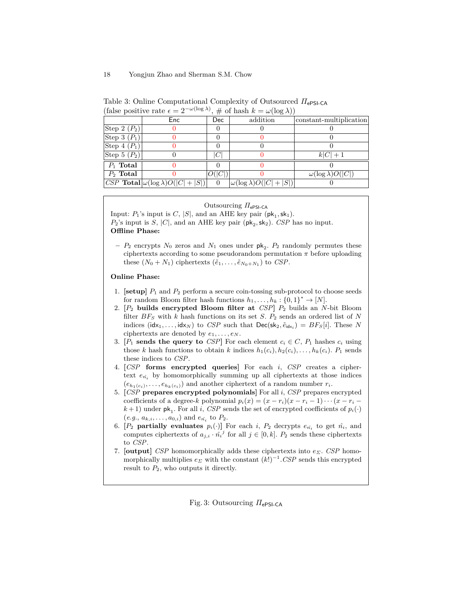| (false positive rate $\epsilon = 2^{-\omega(\log \lambda)}$ .<br>, # of hash $k = \omega(\log \lambda)$ |                                            |          |                                   |                              |  |
|---------------------------------------------------------------------------------------------------------|--------------------------------------------|----------|-----------------------------------|------------------------------|--|
|                                                                                                         | Enc                                        | Dec.     | addition                          | constant-multiplication      |  |
| Step 2 $(P_2)$                                                                                          |                                            |          |                                   |                              |  |
| Step $3(P_1)$                                                                                           |                                            |          |                                   |                              |  |
| Step $4(P_1)$                                                                                           |                                            |          |                                   |                              |  |
| Step 5 $(P_2)$                                                                                          |                                            |          |                                   | $k C +1$                     |  |
| $P_1$ Total                                                                                             |                                            |          |                                   |                              |  |
| $P_2$ Total                                                                                             |                                            | 20CT     |                                   | $\omega(\log \lambda)O( C )$ |  |
|                                                                                                         | CSP Total $\omega(\log \lambda)O( C + S )$ | $\theta$ | $ \omega(\log \lambda)O( C + S )$ |                              |  |

<span id="page-17-1"></span>Table 3: Online Computational Complexity of Outsourced *Π*<sub>ePSI-CA</sub>  $\alpha = \omega(\log \lambda) = \mu$ 

#### Outsourcing *Π*ePSI-CA

<span id="page-17-0"></span>Input:  $P_1$ 's input is  $C$ ,  $|S|$ , and an AHE key pair  $(\mathsf{pk}_1, \mathsf{sk}_1)$ .  $P_2$ 's input is  $S$ ,  $|C|$ , and an AHE key pair  $(\mathsf{pk}_2, \mathsf{sk}_2)$ . *CSP* has no input. **Offline Phase:**

 $- P_2$  encrypts  $N_0$  zeros and  $N_1$  ones under  $pk_2$ .  $P_2$  randomly permutes these ciphertexts according to some pseudorandom permutation  $\pi$  before uploading these  $(N_0 + N_1)$  ciphertexts  $(\tilde{e}_1, \ldots, \tilde{e}_{N_0+N_1})$  to *CSP*.

#### **Online Phase:**

- 1. **[setup]** *P*<sup>1</sup> and *P*<sup>2</sup> perform a secure coin-tossing sub-protocol to choose seeds for random Bloom filter hash functions  $h_1, \ldots, h_k : \{0, 1\}^* \to [N].$
- 2.  $[P_2$  **builds encrypted Bloom filter at** *CSP*  $[P_2$  builds an *N*-bit Bloom filter *BF<sup>S</sup>* with *k* hash functions on its set *S*. *P*<sup>2</sup> sends an ordered list of *N* indices (idx<sub>1</sub>,...,idx<sub>N</sub>) to *CSP* such that  $\textsf{Dec}(\textsf{sk}_2, \tilde{e}_{\textsf{idx}_i}) = BF_S[i]$ . These N ciphertexts are denoted by  $e_1, \ldots, e_N$ .
- 3. [ $P_1$  **sends the query to** CSP] For each element  $c_i \in C$ ,  $P_1$  hashes  $c_i$  using those *k* hash functions to obtain *k* indices  $h_1(c_i), h_2(c_i), \ldots, h_k(c_i)$ .  $P_1$  sends these indices to *CSP*.
- 4. **[***CSP* **forms encrypted queries]** For each *i*, *CSP* creates a ciphertext  $e_{n_i}$  by homomorphically summing up all ciphertexts at those indices  $(e_{h_1(c_i)}, \ldots, e_{h_k(c_i)})$  and another ciphertext of a random number  $r_i$ .
- 5. **[***CSP* **prepares encrypted polynomials]** For all *i*, *CSP* prepares encrypted coefficients of a degree-*k* polynomial  $p_i(x) = (x - r_i)(x - r_i - 1) \cdots (x - r_i - 1)$  $k+1$ ) under **pk**<sub>1</sub>. For all *i*, *CSP* sends the set of encrypted coefficients of  $p_i(\cdot)$  $(e.g., a_{k,i},..., a_{0,i})$  and  $e_{\hat{n_i}}$  to  $P_2$ .
- 6.  $[P_2 \text{ partially evaluates } p_i(\cdot)]$  For each *i*,  $P_2$  decrypts  $e_{n_i}$  to get  $\hat{n_i}$ , and computes ciphertexts of  $a_{j,i} \cdot \hat{n_i}^j$  for all  $j \in [0, k]$ .  $P_2$  sends these ciphertexts to *CSP*.
- 7. **[output]** *CSP* homomorphically adds these ciphertexts into *eΣ*. *CSP* homomorphically multiplies *e<sup>Σ</sup>* with the constant (*k*!)*−*<sup>1</sup> .*CSP* sends this encrypted result to *P*2, who outputs it directly.

Fig. 3: Outsourcing *Π*ePSI-CA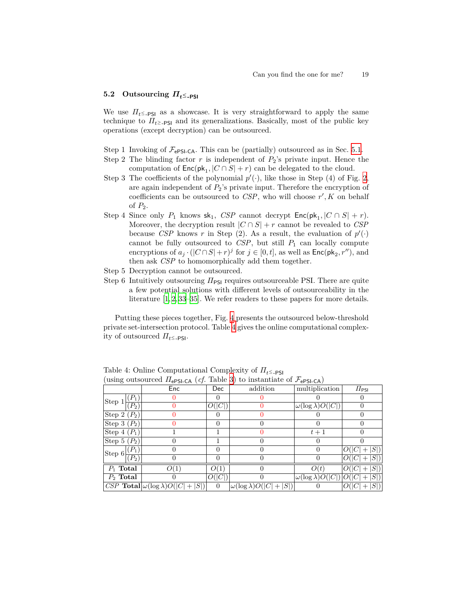## **5.2 Outsourcing** *Πt≤***-PSI**

We use  $\Pi_{t^{\leq -PS}}$  as a showcase. It is very straightforward to apply the same technique to  $\Pi_{t\geq -PSI}$  and its generalizations. Basically, most of the public key operations (except decryption) can be outsourced.

- Step 1 Invoking of  $\mathcal{F}_{ePSI-CA}$ . This can be (partially) outsourced as in Sec. [5.1.](#page-16-0)
- Step 2 The blinding factor  $r$  is independent of  $P_2$ 's private input. Hence the computation of  $Enc(\mathsf{pk}_1, |C \cap S| + r)$  can be delegated to the cloud.
- Step 3 The coefficients of the polynomial  $p'(\cdot)$ , like those in Step (4) of Fig. [2,](#page-13-1) are again independent of  $P_2$ 's private input. Therefore the encryption of coefficients can be outsourced to *CSP*, who will choose *r ′ , K* on behalf of *P*2.
- Step 4 Since only  $P_1$  knows  $sk_1$ ,  $CSP$  cannot decrypt  $Enc(\mathsf{pk}_1, |C \cap S| + r)$ . Moreover, the decryption result  $|C \cap S| + r$  cannot be revealed to *CSP* because *CSP* knows *r* in Step (2). As a result, the evaluation of  $p'(\cdot)$ cannot be fully outsourced to  $CSP$ , but still  $P_1$  can locally compute encryptions of  $a_j \cdot (|C \cap S| + r)^j$  for  $j \in [0, t]$ , as well as  $\mathsf{Enc}(\mathsf{pk}_2, r'')$ , and then ask *CSP* to homomorphically add them together.
- Step 5 Decryption cannot be outsourced.
- Step 6 Intuitively outsourcing  $\Pi_{PSI}$  requires outsourceable PSI. There are quite a few potential solutions with different levels of outsourceability in the literature [[1,](#page-23-14)[2,](#page-23-20)[33](#page-24-12)[–35](#page-24-13)]. We refer readers to these papers for more details.

Putting these pieces together, Fig. [4](#page-19-0) presents the outsourced below-threshold private set-intersection protocol. Table [4](#page-18-0) gives the online computational complexity of outsourced  $\Pi_{t} \leq P\mathsf{S}$ .

| (using outsourced $\Pi_{ePSLCA}$ ( <i>cf.</i> Table 3) to instantiate of $\mathcal{F}_{ePSLCA}$ ) |                                            |            |                                   |                                           |                    |
|---------------------------------------------------------------------------------------------------|--------------------------------------------|------------|-----------------------------------|-------------------------------------------|--------------------|
|                                                                                                   | Enc                                        | <b>Dec</b> | addition                          | multiplication                            | $\pi_{\text{PSI}}$ |
| $P_1$<br>Step 1                                                                                   |                                            | 0          |                                   |                                           |                    |
| $(P_2)$                                                                                           |                                            |            |                                   | $ \omega(\log \lambda)O( \overline{C }) $ |                    |
| Step 2 $(P_2)$                                                                                    |                                            |            |                                   |                                           |                    |
| Step 3 $(P_2)$                                                                                    |                                            |            | $\left( \right)$                  |                                           |                    |
| Step $4(P_1)$                                                                                     |                                            |            |                                   | $t+1$                                     |                    |
| Step 5 $(P_2)$                                                                                    |                                            |            | $\mathbf{0}$                      | $\theta$                                  |                    |
| $(P_1)$<br>Step 6                                                                                 |                                            |            | $\theta$                          | $\Omega$                                  |                    |
| $(P_2)$                                                                                           |                                            |            |                                   |                                           |                    |
| $P_1$ Total                                                                                       | O(1)                                       | O(         | $\left( \right)$                  | O(t)                                      | $O( C + S )$       |
| $P_2$ Total                                                                                       |                                            |            |                                   | $\omega(\log \lambda)O( C ) O( C )$       | $ S $ )            |
|                                                                                                   | CSP Total $\omega(\log \lambda)O( C + S )$ | $\theta$   | $ \omega(\log \lambda)O( C + S )$ |                                           |                    |

<span id="page-18-0"></span>Table 4: Online Computational Complexity of *Π*<sub>*t*≤-PSI</sub>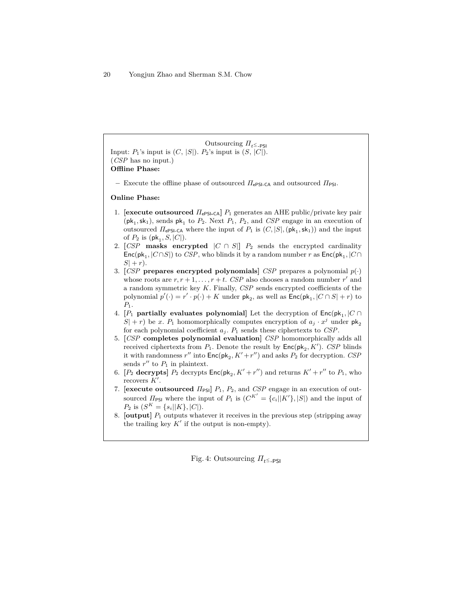<span id="page-19-0"></span>Outsourcing *Π<sup>t</sup>≤*-PSI Input:  $P_1$ 's input is  $(C, |S|)$ .  $P_2$ 's input is  $(S, |C|)$ . (*CSP* has no input.) **Offline Phase: –** Execute the offline phase of outsourced *Π*ePSI-CA and outsourced *Π*PSI. **Online Phase:** 1. **[execute outsourced**  $\Pi_{\text{ePSI-CA}}$ ]  $P_1$  generates an AHE public/private key pair  $(\mathsf{pk}_1, \mathsf{sk}_1)$ , sends  $\mathsf{pk}_1$  to  $P_2$ . Next  $P_1$ ,  $P_2$ , and *CSP* engage in an execution of outsourced  $\Pi_{\text{ePSLCA}}$  where the input of  $P_1$  is  $(C, |S|, (\text{pk}_1, \text{sk}_1))$  and the input of  $P_2$  is  $(\mathsf{pk}_1, S, |C|)$ . 2. [CSP **masks encrypted**  $|C \cap S|$ ]  $P_2$  sends the encrypted cardinality  $\mathsf{Enc}(\mathsf{pk}_1, |C \cap S|)$  to  $CSP$ , who blinds it by a random number *r* as  $\mathsf{Enc}(\mathsf{pk}_1, |C \cap S|)$  $S$ <sup>|</sup> + *r*). 3. [*CSP* prepares encrypted polynomials] *CSP* prepares a polynomial  $p(\cdot)$ whose roots are  $r, r+1, \ldots, r+t$ . *CSP* also chooses a random number  $r'$  and a random symmetric key *K*. Finally, *CSP* sends encrypted coefficients of the polynomial  $p'(\cdot) = r' \cdot p(\cdot) + K$  under  $pk_2$ , as well as  $Enc(pk_1, |C \cap S| + r)$  to *P*1. 4.  $[P_1$  **partially evaluates polynomial** Let the decryption of  $Enc(\mathsf{pk}_1, |C \cap C)$  $S$ <sup> $|$ </sup> + *r*) be *x*. *P*<sub>1</sub> homomorphically computes encryption of  $a_j \cdot x^j$  under  $\mathsf{pk}_2$ for each polynomial coefficient  $a_j$ .  $P_1$  sends these ciphertexts to *CSP*. 5. **[***CSP* **completes polynomial evaluation]** *CSP* homomorphically adds all received ciphertexts from  $P_1$ . Denote the result by  $Enc(\mathsf{pk}_2, K')$ . *CSP* blinds it with randomness  $r''$  into  $Enc(\mathsf{pk}_2, K' + r'')$  and asks  $P_2$  for decryption. *CSP* sends  $r''$  to  $P_1$  in plaintext. 6.  $[P_2$  **decrypts**  $P_2$  decrypts  $Enc(\mathsf{pk}_2, K' + r'')$  and returns  $K' + r''$  to  $P_1$ , who recovers *K′* . 7. **[execute outsourced**  $\Pi_{PS}$ ]  $P_1$ ,  $P_2$ , and  $CSP$  engage in an execution of outsourced  $\Pi_{PSI}$  where the input of  $P_1$  is  $(C^{K'} = \{c_i | K'\}, |S|)$  and the input of  $P_2$  is  $(S^K = \{s_i | |K\}, |C|).$ 8. **[output]** *P*<sup>1</sup> outputs whatever it receives in the previous step (stripping away the trailing key  $K'$  if the output is non-empty).

Fig. 4: Outsourcing *Π<sup>t</sup>≤*-PSI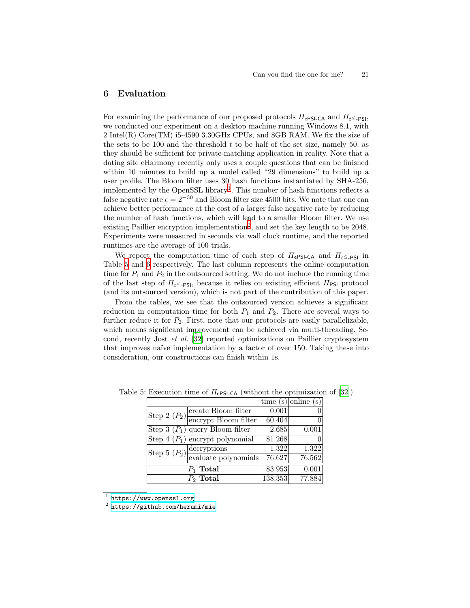## <span id="page-20-0"></span>**6 Evaluation**

For examining the performance of our proposed protocols  $\Pi_{e\text{PSI-CA}}$  and  $\Pi_{t\leq P\text{SI}}$ , we conducted our experiment on a desktop machine running Windows 8.1, with 2 Intel(R) Core(TM) i5-4590 3.30GHz CPUs, and 8GB RAM. We fix the size of the sets to be 100 and the threshold *t* to be half of the set size, namely 50. as they should be sufficient for private-matching application in reality. Note that a dating site eHarmony recently only uses a couple questions that can be finished within 10 minutes to build up a model called "29 dimensions" to build up a user profile. The Bloom filter uses 30 hash functions instantiated by SHA-256, implemented by the OpenSSL library<sup>[1](#page-20-1)</sup>. This number of hash functions reflects a false negative rate  $\epsilon = 2^{-30}$  and Bloom filter size 4500 bits. We note that one can achieve better performance at the cost of a larger false negative rate by reducing the number of hash functions, which will lead to a smaller Bloom filter. We use existing Paillier encryption implementation<sup>[2](#page-20-2)</sup>, and set the key length to be  $2048$ . Experiments were measured in seconds via wall clock runtime, and the reported runtimes are the average of 100 trials.

We report the computation time of each step of  $\Pi_{e}P_{s}C_{A}$  and  $\Pi_{t} \leq P_{s}C_{A}$  in Table [5](#page-20-3) and [6](#page-21-0) respectively. The last column represents the online computation time for  $P_1$  and  $P_2$  in the outsourced setting. We do not include the running time of the last step of  $\Pi_{t \leq -PSI}$ , because it relies on existing efficient  $\Pi_{PSI}$  protocol (and its outsourced version), which is not part of the contribution of this paper.

From the tables, we see that the outsourced version achieves a significant reduction in computation time for both  $P_1$  and  $P_2$ . There are several ways to further reduce it for  $P_2$ . First, note that our protocols are easily parallelizable, which means significant improvement can be achieved via multi-threading. Second, recently Jost *et al.* [[32\]](#page-24-20) reported optimizations on Paillier cryptosystem that improves naïve implementation by a factor of over 150. Taking these into consideration, our constructions can finish within 1s.

|                                                            |                                     |         | time $(s)$ online $(s)$ |
|------------------------------------------------------------|-------------------------------------|---------|-------------------------|
| Step 2 $(P_2)$ create Bloom filter<br>encrypt Bloom filter |                                     | 0.001   |                         |
|                                                            |                                     | 60.404  |                         |
|                                                            | Step 3 $(P_1)$ query Bloom filter   | 2.685   | 0.001                   |
|                                                            | Step $4(P_1)$ encrypt polynomial    | 81.268  |                         |
|                                                            | Step 5 $(P_2)$ evaluate polynomials | 1.322   | 1.322                   |
|                                                            |                                     | 76.627  | 76.562                  |
|                                                            | $P_1$ Total                         | 83.953  | 0.001                   |
|                                                            | $P_2$ Total                         | 138.353 | 77.884                  |

<span id="page-20-3"></span>Table 5: Execution time of  $\Pi_{\text{ePSI-CA}}$  (without the optimization of [[32\]](#page-24-20))

<span id="page-20-1"></span> $^1$  <https://www.openssl.org>

<span id="page-20-2"></span> $^2$  <https://github.com/herumi/mie>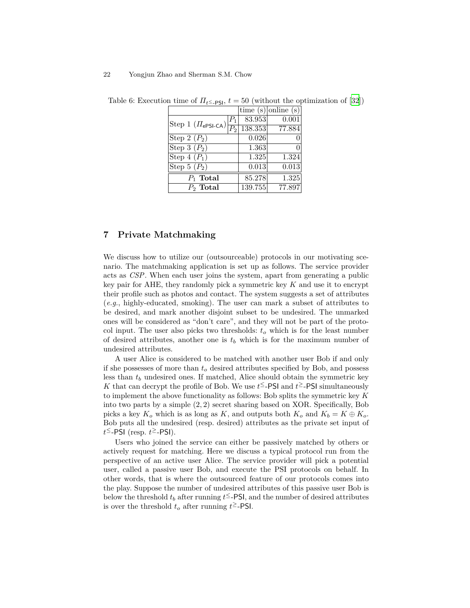|                                 |         | time $(s)$ online $(s)$ |
|---------------------------------|---------|-------------------------|
| Step 1 $(\Pi_{\text{ePSI-CA}})$ | 83.953  | 0.001                   |
| P <sub>2</sub>                  | 138.353 | 77.884                  |
| $\overline{\text{Step 2}(P_2)}$ | 0.026   |                         |
| Step $3(P_2)$                   | 1.363   |                         |
| Step 4 $(P_1)$                  | 1.325   | 1.324                   |
| Step 5 $(P_2)$                  | 0.013   | 0.013                   |
| $P_1$ Total                     | 85.278  | 1.325                   |
| $P_2$ Total                     | 139.755 | 77.897                  |

<span id="page-21-0"></span>Table 6: Execution time of  $\Pi_{t \leq PSI}$ ,  $t = 50$  (without the optimization of [\[32\]](#page-24-20))

## **7 Private Matchmaking**

We discuss how to utilize our (outsourceable) protocols in our motivating scenario. The matchmaking application is set up as follows. The service provider acts as *CSP*. When each user joins the system, apart from generating a public key pair for AHE, they randomly pick a symmetric key *K* and use it to encrypt their profile such as photos and contact. The system suggests a set of attributes (*e.g.*, highly-educated, smoking). The user can mark a subset of attributes to be desired, and mark another disjoint subset to be undesired. The unmarked ones will be considered as "don't care", and they will not be part of the protocol input. The user also picks two thresholds: *t<sup>o</sup>* which is for the least number of desired attributes, another one is  $t<sub>b</sub>$  which is for the maximum number of undesired attributes.

A user Alice is considered to be matched with another user Bob if and only if she possesses of more than *t<sup>o</sup>* desired attributes specified by Bob, and possess less than *t<sup>b</sup>* undesired ones. If matched, Alice should obtain the symmetric key *K* that can decrypt the profile of Bob. We use *t <sup>≤</sup>*-PSI and *t <sup>≥</sup>*-PSI simultaneously to implement the above functionality as follows: Bob splits the symmetric key *K* into two parts by a simple (2*,* 2) secret sharing based on XOR. Specifically, Bob picks a key  $K_o$  which is as long as  $K$ , and outputs both  $K_o$  and  $K_b = K \oplus K_o$ . Bob puts all the undesired (resp. desired) attributes as the private set input of *t <sup>≤</sup>*-PSI (resp. *t <sup>≥</sup>*-PSI).

Users who joined the service can either be passively matched by others or actively request for matching. Here we discuss a typical protocol run from the perspective of an active user Alice. The service provider will pick a potential user, called a passive user Bob, and execute the PSI protocols on behalf. In other words, that is where the outsourced feature of our protocols comes into the play. Suppose the number of undesired attributes of this passive user Bob is below the threshold  $t_b$  after running  $t \leq$ -PSI, and the number of desired attributes is over the threshold  $t_o$  after running  $t^{\ge}$ -PSI.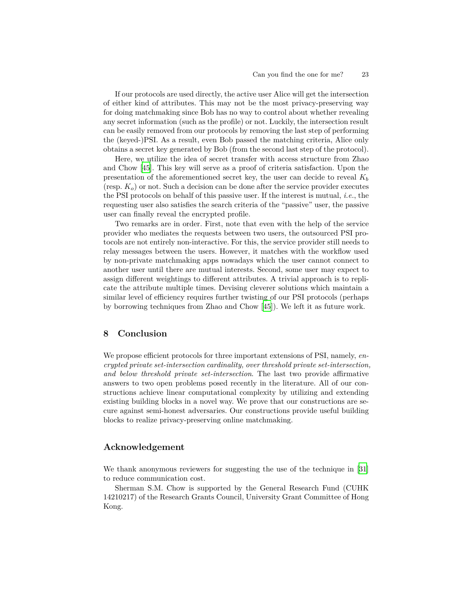If our protocols are used directly, the active user Alice will get the intersection of either kind of attributes. This may not be the most privacy-preserving way for doing matchmaking since Bob has no way to control about whether revealing any secret information (such as the profile) or not. Luckily, the intersection result can be easily removed from our protocols by removing the last step of performing the (keyed-)PSI. As a result, even Bob passed the matching criteria, Alice only obtains a secret key generated by Bob (from the second last step of the protocol).

Here, we utilize the idea of secret transfer with access structure from Zhao and Chow [\[45](#page-24-0)]. This key will serve as a proof of criteria satisfaction. Upon the presentation of the aforementioned secret key, the user can decide to reveal *K<sup>b</sup>* (resp.  $K<sub>o</sub>$ ) or not. Such a decision can be done after the service provider executes the PSI protocols on behalf of this passive user. If the interest is mutual, *i.e.*, the requesting user also satisfies the search criteria of the "passive" user, the passive user can finally reveal the encrypted profile.

Two remarks are in order. First, note that even with the help of the service provider who mediates the requests between two users, the outsourced PSI protocols are not entirely non-interactive. For this, the service provider still needs to relay messages between the users. However, it matches with the workflow used by non-private matchmaking apps nowadays which the user cannot connect to another user until there are mutual interests. Second, some user may expect to assign different weightings to different attributes. A trivial approach is to replicate the attribute multiple times. Devising cleverer solutions which maintain a similar level of efficiency requires further twisting of our PSI protocols (perhaps by borrowing techniques from Zhao and Chow [\[45\]](#page-24-0)). We left it as future work.

## **8 Conclusion**

We propose efficient protocols for three important extensions of PSI, namely, *encrypted private set-intersection cardinality, over threshold private set-intersection, and below threshold private set-intersection*. The last two provide affirmative answers to two open problems posed recently in the literature. All of our constructions achieve linear computational complexity by utilizing and extending existing building blocks in a novel way. We prove that our constructions are secure against semi-honest adversaries. Our constructions provide useful building blocks to realize privacy-preserving online matchmaking.

## **Acknowledgement**

We thank anonymous reviewers for suggesting the use of the technique in [[31\]](#page-24-19) to reduce communication cost.

Sherman S.M. Chow is supported by the General Research Fund (CUHK 14210217) of the Research Grants Council, University Grant Committee of Hong Kong.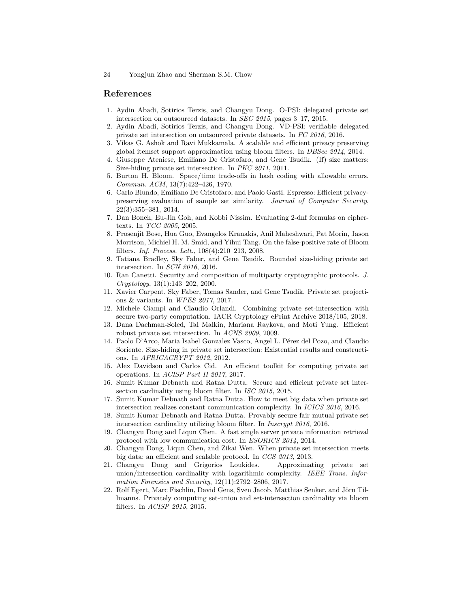## **References**

- <span id="page-23-14"></span>1. Aydin Abadi, Sotirios Terzis, and Changyu Dong. O-PSI: delegated private set intersection on outsourced datasets. In *SEC 2015*, pages 3–17, 2015.
- <span id="page-23-20"></span>2. Aydin Abadi, Sotirios Terzis, and Changyu Dong. VD-PSI: verifiable delegated private set intersection on outsourced private datasets. In *FC 2016*, 2016.
- <span id="page-23-6"></span>3. Vikas G. Ashok and Ravi Mukkamala. A scalable and efficient privacy preserving global itemset support approximation using bloom filters. In *DBSec 2014*, 2014.
- <span id="page-23-12"></span>4. Giuseppe Ateniese, Emiliano De Cristofaro, and Gene Tsudik. (If) size matters: Size-hiding private set intersection. In *PKC 2011*, 2011.
- <span id="page-23-16"></span>5. Burton H. Bloom. Space/time trade-offs in hash coding with allowable errors. *Commun. ACM*, 13(7):422–426, 1970.
- <span id="page-23-7"></span>6. Carlo Blundo, Emiliano De Cristofaro, and Paolo Gasti. Espresso: Efficient privacypreserving evaluation of sample set similarity. *Journal of Computer Security*, 22(3):355–381, 2014.
- <span id="page-23-21"></span>7. Dan Boneh, Eu-Jin Goh, and Kobbi Nissim. Evaluating 2-dnf formulas on ciphertexts. In *TCC 2005*, 2005.
- <span id="page-23-17"></span>8. Prosenjit Bose, Hua Guo, Evangelos Kranakis, Anil Maheshwari, Pat Morin, Jason Morrison, Michiel H. M. Smid, and Yihui Tang. On the false-positive rate of Bloom filters. *Inf. Process. Lett.*, 108(4):210–213, 2008.
- <span id="page-23-0"></span>9. Tatiana Bradley, Sky Faber, and Gene Tsudik. Bounded size-hiding private set intersection. In *SCN 2016*, 2016.
- <span id="page-23-18"></span>10. Ran Canetti. Security and composition of multiparty cryptographic protocols. *J. Cryptology*, 13(1):143–202, 2000.
- <span id="page-23-1"></span>11. Xavier Carpent, Sky Faber, Tomas Sander, and Gene Tsudik. Private set projections & variants. In *WPES 2017*, 2017.
- <span id="page-23-15"></span>12. Michele Ciampi and Claudio Orlandi. Combining private set-intersection with secure two-party computation. IACR Cryptology ePrint Archive 2018/105, 2018.
- <span id="page-23-2"></span>13. Dana Dachman-Soled, Tal Malkin, Mariana Raykova, and Moti Yung. Efficient robust private set intersection. In *ACNS 2009*, 2009.
- <span id="page-23-13"></span>14. Paolo D'Arco, Maria Isabel Gonzalez Vasco, Angel L. Pérez del Pozo, and Claudio Soriente. Size-hiding in private set intersection: Existential results and constructions. In *AFRICACRYPT 2012*, 2012.
- <span id="page-23-8"></span>15. Alex Davidson and Carlos Cid. An efficient toolkit for computing private set operations. In *ACISP Part II 2017*, 2017.
- <span id="page-23-4"></span>16. Sumit Kumar Debnath and Ratna Dutta. Secure and efficient private set intersection cardinality using bloom filter. In *ISC 2015*, 2015.
- <span id="page-23-5"></span>17. Sumit Kumar Debnath and Ratna Dutta. How to meet big data when private set intersection realizes constant communication complexity. In *ICICS 2016*, 2016.
- <span id="page-23-9"></span>18. Sumit Kumar Debnath and Ratna Dutta. Provably secure fair mutual private set intersection cardinality utilizing bloom filter. In *Inscrypt 2016*, 2016.
- <span id="page-23-19"></span>19. Changyu Dong and Liqun Chen. A fast single server private information retrieval protocol with low communication cost. In *ESORICS 2014*, 2014.
- <span id="page-23-3"></span>20. Changyu Dong, Liqun Chen, and Zikai Wen. When private set intersection meets big data: an efficient and scalable protocol. In *CCS 2013*, 2013.
- <span id="page-23-10"></span>21. Changyu Dong and Grigorios Loukides. Approximating private set union/intersection cardinality with logarithmic complexity. *IEEE Trans. Information Forensics and Security*, 12(11):2792–2806, 2017.
- <span id="page-23-11"></span>22. Rolf Egert, Marc Fischlin, David Gens, Sven Jacob, Matthias Senker, and Jörn Tillmanns. Privately computing set-union and set-intersection cardinality via bloom filters. In *ACISP 2015*, 2015.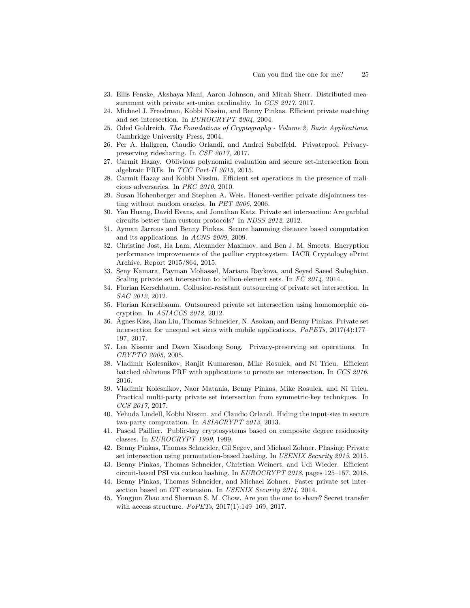- 23. Ellis Fenske, Akshaya Mani, Aaron Johnson, and Micah Sherr. Distributed measurement with private set-union cardinality. In *CCS 2017*, 2017.
- <span id="page-24-3"></span>24. Michael J. Freedman, Kobbi Nissim, and Benny Pinkas. Efficient private matching and set intersection. In *EUROCRYPT 2004*, 2004.
- <span id="page-24-16"></span>25. Oded Goldreich. *The Foundations of Cryptography - Volume 2, Basic Applications*. Cambridge University Press, 2004.
- <span id="page-24-14"></span>26. Per A. Hallgren, Claudio Orlandi, and Andrei Sabelfeld. Privatepool: Privacypreserving ridesharing. In *CSF 2017*, 2017.
- <span id="page-24-4"></span>27. Carmit Hazay. Oblivious polynomial evaluation and secure set-intersection from algebraic PRFs. In *TCC Part-II 2015*, 2015.
- <span id="page-24-5"></span>28. Carmit Hazay and Kobbi Nissim. Efficient set operations in the presence of malicious adversaries. In *PKC 2010*, 2010.
- <span id="page-24-11"></span>29. Susan Hohenberger and Stephen A. Weis. Honest-verifier private disjointness testing without random oracles. In *PET 2006*, 2006.
- <span id="page-24-1"></span>30. Yan Huang, David Evans, and Jonathan Katz. Private set intersection: Are garbled circuits better than custom protocols? In *NDSS 2012*, 2012.
- <span id="page-24-19"></span>31. Ayman Jarrous and Benny Pinkas. Secure hamming distance based computation and its applications. In *ACNS 2009*, 2009.
- <span id="page-24-20"></span>32. Christine Jost, Ha Lam, Alexander Maximov, and Ben J. M. Smeets. Encryption performance improvements of the paillier cryptosystem. IACR Cryptology ePrint Archive, Report 2015/864, 2015.
- <span id="page-24-12"></span>33. Seny Kamara, Payman Mohassel, Mariana Raykova, and Seyed Saeed Sadeghian. Scaling private set intersection to billion-element sets. In *FC 2014*, 2014.
- 34. Florian Kerschbaum. Collusion-resistant outsourcing of private set intersection. In *SAC 2012*, 2012.
- <span id="page-24-13"></span>35. Florian Kerschbaum. Outsourced private set intersection using homomorphic encryption. In *ASIACCS 2012*, 2012.
- <span id="page-24-18"></span>36. Ágnes Kiss, Jian Liu, Thomas Schneider, N. Asokan, and Benny Pinkas. Private set intersection for unequal set sizes with mobile applications. *PoPETs*, 2017(4):177– 197, 2017.
- <span id="page-24-6"></span>37. Lea Kissner and Dawn Xiaodong Song. Privacy-preserving set operations. In *CRYPTO 2005*, 2005.
- <span id="page-24-7"></span>38. Vladimir Kolesnikov, Ranjit Kumaresan, Mike Rosulek, and Ni Trieu. Efficient batched oblivious PRF with applications to private set intersection. In *CCS 2016*, 2016.
- <span id="page-24-8"></span>39. Vladimir Kolesnikov, Naor Matania, Benny Pinkas, Mike Rosulek, and Ni Trieu. Practical multi-party private set intersection from symmetric-key techniques. In *CCS 2017*, 2017.
- <span id="page-24-17"></span>40. Yehuda Lindell, Kobbi Nissim, and Claudio Orlandi. Hiding the input-size in secure two-party computation. In *ASIACRYPT 2013*, 2013.
- <span id="page-24-15"></span>41. Pascal Paillier. Public-key cryptosystems based on composite degree residuosity classes. In *EUROCRYPT 1999*, 1999.
- <span id="page-24-9"></span>42. Benny Pinkas, Thomas Schneider, Gil Segev, and Michael Zohner. Phasing: Private set intersection using permutation-based hashing. In *USENIX Security 2015*, 2015.
- <span id="page-24-2"></span>43. Benny Pinkas, Thomas Schneider, Christian Weinert, and Udi Wieder. Efficient circuit-based PSI via cuckoo hashing. In *EUROCRYPT 2018*, pages 125–157, 2018.
- <span id="page-24-10"></span>44. Benny Pinkas, Thomas Schneider, and Michael Zohner. Faster private set intersection based on OT extension. In *USENIX Security 2014*, 2014.
- <span id="page-24-0"></span>45. Yongjun Zhao and Sherman S. M. Chow. Are you the one to share? Secret transfer with access structure. *PoPETs*, 2017(1):149–169, 2017.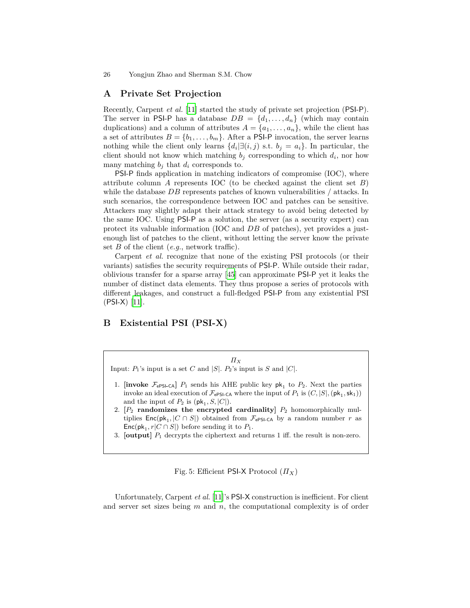## <span id="page-25-1"></span>**A Private Set Projection**

Recently, Carpent *et al.* [\[11](#page-23-1)] started the study of private set projection (PSI-P). The server in PSI-P has a database  $DB = \{d_1, \ldots, d_n\}$  (which may contain duplications) and a column of attributes  $A = \{a_1, \ldots, a_n\}$ , while the client has a set of attributes  $B = \{b_1, \ldots, b_m\}$ . After a PSI-P invocation, the server learns nothing while the client only learns  $\{d_i | \exists (i, j) \text{ s.t. } b_j = a_i\}$ . In particular, the client should not know which matching  $b_j$  corresponding to which  $d_i$ , nor how many matching  $b_j$  that  $d_i$  corresponds to.

PSI-P finds application in matching indicators of compromise (IOC), where attribute column *A* represents IOC (to be checked against the client set *B*) while the database *DB* represents patches of known vulnerabilities / attacks. In such scenarios, the correspondence between IOC and patches can be sensitive. Attackers may slightly adapt their attack strategy to avoid being detected by the same IOC. Using PSI-P as a solution, the server (as a security expert) can protect its valuable information (IOC and *DB* of patches), yet provides a justenough list of patches to the client, without letting the server know the private set *B* of the client (*e.g.*, network traffic).

Carpent *et al.* recognize that none of the existing PSI protocols (or their variants) satisfies the security requirements of PSI-P. While outside their radar, oblivious transfer for a sparse array [[45\]](#page-24-0) can approximate PSI-P yet it leaks the number of distinct data elements. They thus propose a series of protocols with different leakages, and construct a full-fledged PSI-P from any existential PSI  $(PSI-X)$  [\[11](#page-23-1)].

## <span id="page-25-0"></span>**B Existential PSI (PSI-X)**

- <span id="page-25-2"></span>*Π<sup>X</sup>* Input:  $P_1$ 's input is a set  $C$  and  $|S|$ .  $P_2$ 's input is  $S$  and  $|C|$ .
- 1. **[invoke**  $\mathcal{F}_{ePSI-CA}$ ]  $P_1$  sends his AHE public key  $pk_1$  to  $P_2$ . Next the parties invoke an ideal execution of  $\mathcal{F}_{\text{ePSI-CA}}$  where the input of  $P_1$  is  $(C, |S|, (\text{pk}_1, \text{sk}_1))$ and the input of  $P_2$  is  $(\mathsf{pk}_1, S, |C|)$ .
- 2.  $[P_2 \text{ randomizes the encrypted cardinality}]$   $P_2 \text{ homomorphically mult}}$ tiplies  $Enc(pk_1, |C \cap S|)$  obtained from  $\mathcal{F}_{ePSI-CA}$  by a random number *r* as  $\mathsf{Enc}(\mathsf{pk}_1, r | C \cap S|)$  before sending it to  $P_1$ .
- 3. **[output]** *P*<sup>1</sup> decrypts the ciphertext and returns 1 iff. the result is non-zero.

Fig. 5: Efficient PSI-X Protocol (*ΠX*)

Unfortunately, Carpent *et al.* [\[11](#page-23-1)]'s PSI-X construction is inefficient. For client and server set sizes being *m* and *n*, the computational complexity is of order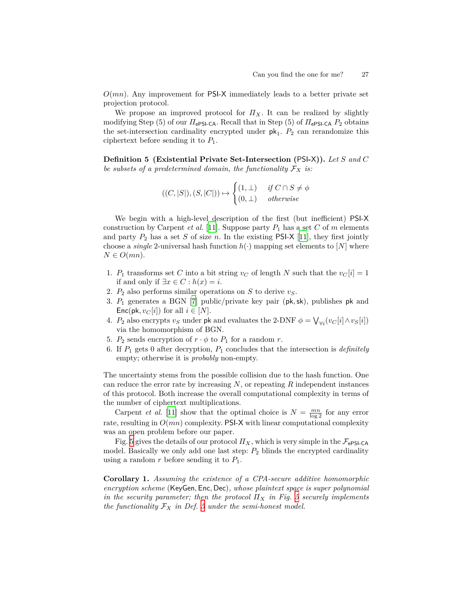*O*(*mn*). Any improvement for PSI-X immediately leads to a better private set projection protocol.

We propose an improved protocol for  $\Pi_X$ . It can be realized by slightly modifying Step (5) of our *Π*<sub>ePSI-CA</sub>. Recall that in Step (5) of *Π*<sub>ePSI-CA</sub> *P*<sub>2</sub> obtains the set-intersection cardinality encrypted under  $pk_1$ .  $P_2$  can rerandomize this ciphertext before sending it to  $P_1$ .

<span id="page-26-0"></span>**Definition 5 (Existential Private Set-Intersection (**PSI**-**X**)).** *Let S and C be subsets of a predetermined domain, the functionality*  $\mathcal{F}_X$  *is:* 

$$
((C,|S|),(S,|C|))\mapsto \begin{cases} (1,\bot) &\textit{if $C\cap S\neq \phi$}\\ (0,\bot) &\textit{otherwise} \end{cases}
$$

We begin with a high-level description of the first (but inefficient) PSI-X construction by Carpent *et al.* [\[11](#page-23-1)]. Suppose party  $P_1$  has a set  $C$  of  $m$  elements and party  $P_2$  has a set *S* of size *n*. In the existing **PSI-X** [[11\]](#page-23-1), they first jointly choose a *single* 2-universal hash function  $h(\cdot)$  mapping set elements to [*N*] where  $N \in O(mn)$ .

- 1. *P*<sub>1</sub> transforms set *C* into a bit string  $v_C$  of length *N* such that the  $v_C[i] = 1$ if and only if *∃x ∈ C* : *h*(*x*) = *i*.
- 2.  $P_2$  also performs similar operations on *S* to derive  $v_S$ .
- 3. *P*<sup>1</sup> generates a BGN [\[7\]](#page-23-21) public/private key pair (pk*,*sk), publishes pk and Enc(pk,  $v_C[i]$ ) for all  $i \in [N]$ .
- 4. *P*<sub>2</sub> also encrypts  $v_S$  under pk and evaluates the 2-DNF  $\phi = \bigvee_{\forall i} (v_C[i] \wedge v_S[i])$ via the homomorphism of BGN.
- 5.  $P_2$  sends encryption of  $r \cdot \phi$  to  $P_1$  for a random  $r$ .
- 6. If *P*<sup>1</sup> gets 0 after decryption, *P*<sup>1</sup> concludes that the intersection is *definitely* empty; otherwise it is *probably* non-empty.

The uncertainty stems from the possible collision due to the hash function. One can reduce the error rate by increasing *N*, or repeating *R* independent instances of this protocol. Both increase the overall computational complexity in terms of the number of ciphertext multiplications.

Carpent *et al.* [\[11](#page-23-1)] show that the optimal choice is  $N = \frac{mn}{\log 2}$  for any error rate, resulting in  $O(mn)$  complexity. PSI-X with linear computational complexity was an open problem before our paper.

Fig. [5](#page-25-2) gives the details of our protocol  $\Pi_X$ , which is very simple in the  $\mathcal{F}_{\text{ePSI-CA}}$ model. Basically we only add one last step:  $P_2$  blinds the encrypted cardinality using a random *r* before sending it to *P*1.

**Corollary 1.** *Assuming the existence of a CPA-secure additive homomorphic encryption scheme* (KeyGen*,* Enc*,* Dec)*, whose plaintext space is super polynomial in the security parameter; then the protocol*  $\Pi_X$  *in Fig.* [5](#page-25-2) *securely implements the functionality*  $\mathcal{F}_X$  *in Def.* [5](#page-26-0) *under the semi-honest model.*